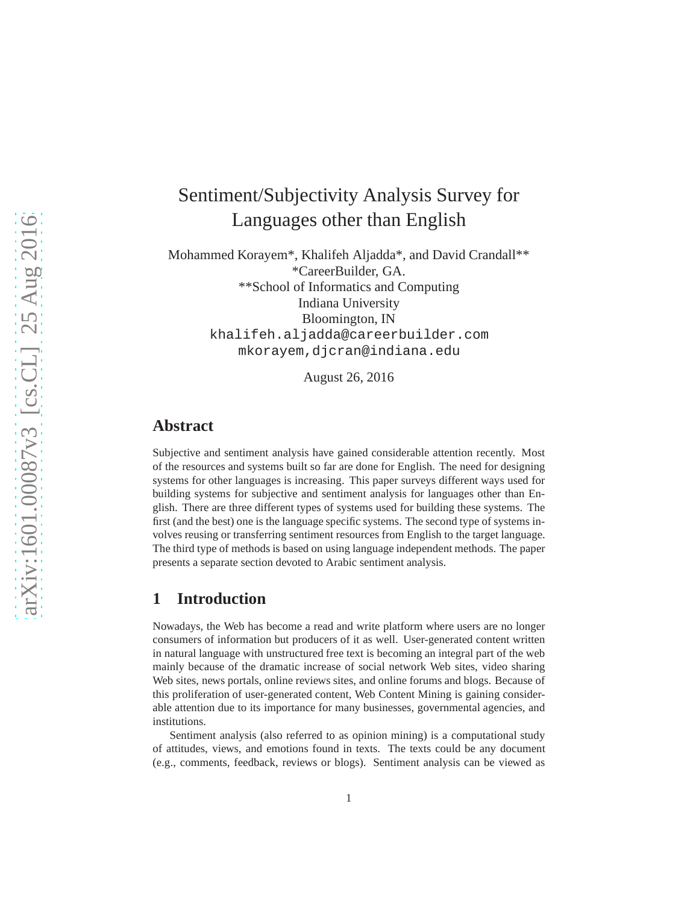# Sentiment/Subjectivity Analysis Survey for Languages other than English

Mohammed Korayem\*, Khalifeh Aljadda\*, and David Crandall\*\* \*CareerBuilder, GA. \*\*School of Informatics and Computing Indiana University Bloomington, IN khalifeh.aljadda@careerbuilder.com mkorayem,djcran@indiana.edu

August 26, 2016

# **Abstract**

Subjective and sentiment analysis have gained considerable attention recently. Most of the resources and systems built so far are done for English. The need for designing systems for other languages is increasing. This paper surveys different ways used for building systems for subjective and sentiment analysis for languages other than English. There are three different types of systems used for building these systems. The first (and the best) one is the language specific systems. The second type of systems involves reusing or transferring sentiment resources from English to the target language. The third type of methods is based on using language independent methods. The paper presents a separate section devoted to Arabic sentiment analysis.

# **1 Introduction**

Nowadays, the Web has become a read and write platform where users are no longer consumers of information but producers of it as well. User-generated content written in natural language with unstructured free text is becoming an integral part of the web mainly because of the dramatic increase of social network Web sites, video sharing Web sites, news portals, online reviews sites, and online forums and blogs. Because of this proliferation of user-generated content, Web Content Mining is gaining considerable attention due to its importance for many businesses, governmental agencies, and institutions.

Sentiment analysis (also referred to as opinion mining) is a computational study of attitudes, views, and emotions found in texts. The texts could be any document (e.g., comments, feedback, reviews or blogs). Sentiment analysis can be viewed as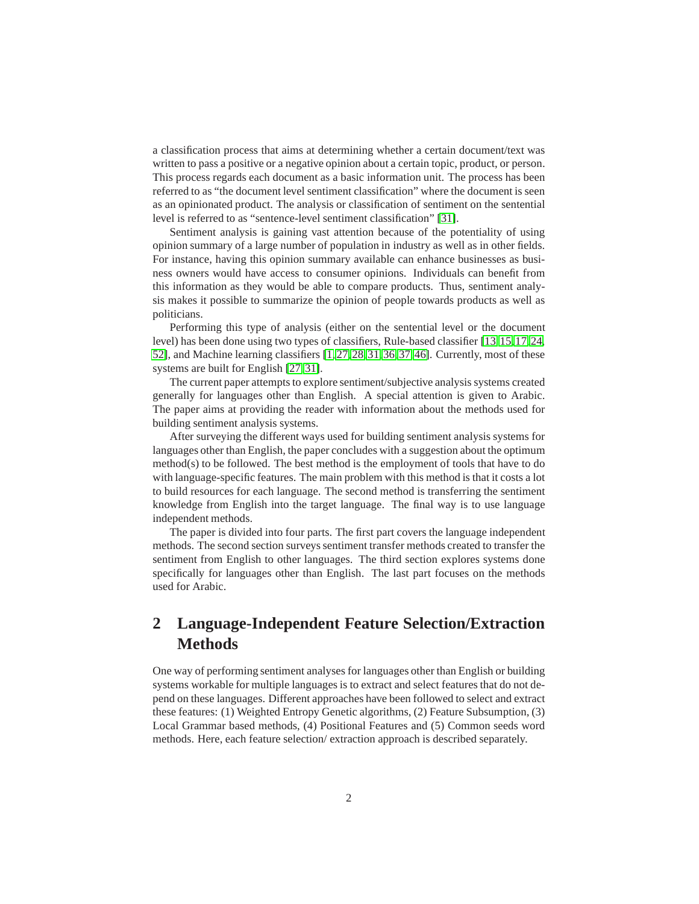a classification process that aims at determining whether a certain document/text was written to pass a positive or a negative opinion about a certain topic, product, or person. This process regards each document as a basic information unit. The process has been referred to as "the document level sentiment classification" where the document is seen as an opinionated product. The analysis or classification of sentiment on the sentential level is referred to as "sentence-level sentiment classification" [\[31\]](#page-26-0).

Sentiment analysis is gaining vast attention because of the potentiality of using opinion summary of a large number of population in industry as well as in other fields. For instance, having this opinion summary available can enhance businesses as business owners would have access to consumer opinions. Individuals can benefit from this information as they would be able to compare products. Thus, sentiment analysis makes it possible to summarize the opinion of people towards products as well as politicians.

Performing this type of analysis (either on the sentential level or the document level) has been done using two types of classifiers, Rule-based classifier [\[13,](#page-25-0)[15,](#page-25-1)[17,](#page-25-2)[24,](#page-25-3) [52\]](#page-27-0), and Machine learning classifiers [\[1,](#page-23-0)[27,](#page-26-1)[28,](#page-26-2)[31,](#page-26-0)[36,](#page-26-3)[37,](#page-26-4)[46\]](#page-27-1). Currently, most of these systems are built for English [\[27,](#page-26-1) [31\]](#page-26-0).

The current paper attempts to explore sentiment/subjective analysis systems created generally for languages other than English. A special attention is given to Arabic. The paper aims at providing the reader with information about the methods used for building sentiment analysis systems.

After surveying the different ways used for building sentiment analysis systems for languages other than English, the paper concludes with a suggestion about the optimum method(s) to be followed. The best method is the employment of tools that have to do with language-specific features. The main problem with this method is that it costs a lot to build resources for each language. The second method is transferring the sentiment knowledge from English into the target language. The final way is to use language independent methods.

The paper is divided into four parts. The first part covers the language independent methods. The second section surveys sentiment transfer methods created to transfer the sentiment from English to other languages. The third section explores systems done specifically for languages other than English. The last part focuses on the methods used for Arabic.

# **2 Language-Independent Feature Selection/Extraction Methods**

One way of performing sentiment analyses for languages other than English or building systems workable for multiple languages is to extract and select features that do not depend on these languages. Different approaches have been followed to select and extract these features: (1) Weighted Entropy Genetic algorithms, (2) Feature Subsumption, (3) Local Grammar based methods, (4) Positional Features and (5) Common seeds word methods. Here, each feature selection/ extraction approach is described separately.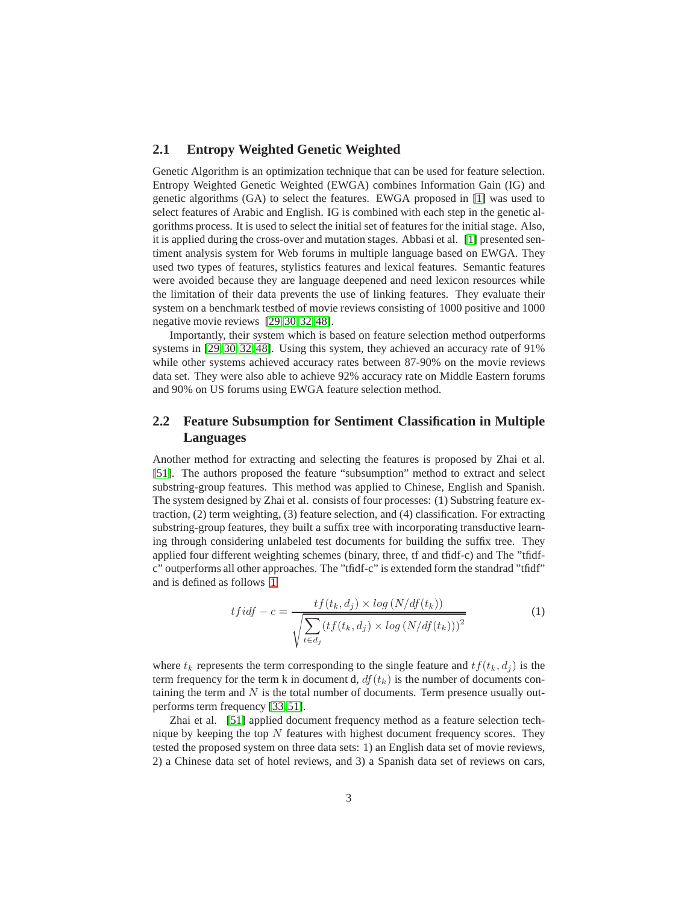# **2.1 Entropy Weighted Genetic Weighted**

Genetic Algorithm is an optimization technique that can be used for feature selection. Entropy Weighted Genetic Weighted (EWGA) combines Information Gain (IG) and genetic algorithms (GA) to select the features. EWGA proposed in [\[1\]](#page-23-0) was used to select features of Arabic and English. IG is combined with each step in the genetic algorithms process. It is used to select the initial set of features for the initial stage. Also, it is applied during the cross-over and mutation stages. Abbasi et al. [\[1\]](#page-23-0) presented sentiment analysis system for Web forums in multiple language based on EWGA. They used two types of features, stylistics features and lexical features. Semantic features were avoided because they are language deepened and need lexicon resources while the limitation of their data prevents the use of linking features. They evaluate their system on a benchmark testbed of movie reviews consisting of 1000 positive and 1000 negative movie reviews [\[29,](#page-26-5) [30,](#page-26-6) [32,](#page-26-7) [48\]](#page-27-2).

Importantly, their system which is based on feature selection method outperforms systems in [\[29,](#page-26-5) [30,](#page-26-6) [32,](#page-26-7) [48\]](#page-27-2). Using this system, they achieved an accuracy rate of 91% while other systems achieved accuracy rates between 87-90% on the movie reviews data set. They were also able to achieve 92% accuracy rate on Middle Eastern forums and 90% on US forums using EWGA feature selection method.

# **2.2 Feature Subsumption for Sentiment Classification in Multiple Languages**

Another method for extracting and selecting the features is proposed by Zhai et al. [\[51\]](#page-27-3). The authors proposed the feature "subsumption" method to extract and select substring-group features. This method was applied to Chinese, English and Spanish. The system designed by Zhai et al. consists of four processes: (1) Substring feature extraction, (2) term weighting, (3) feature selection, and (4) classification. For extracting substring-group features, they built a suffix tree with incorporating transductive learning through considering unlabeled test documents for building the suffix tree. They applied four different weighting schemes (binary, three, tf and tfidf-c) and The "tfidfc" outperforms all other approaches. The "tfidf-c" is extended form the standrad "tfidf" and is defined as follows [1](#page-2-0)

<span id="page-2-0"></span>
$$
tfidf - c = \frac{tf(t_k, d_j) \times \log (N/df(t_k))}{\sqrt{\sum_{t \in d_j} (tf(t_k, d_j) \times \log (N/df(t_k)))^2}}
$$
(1)

where  $t_k$  represents the term corresponding to the single feature and  $tf(t_k, d_i)$  is the term frequency for the term k in document d,  $df(t_k)$  is the number of documents containing the term and  $N$  is the total number of documents. Term presence usually outperforms term frequency [\[33,](#page-26-8) [51\]](#page-27-3).

Zhai et al. [\[51\]](#page-27-3) applied document frequency method as a feature selection technique by keeping the top  $N$  features with highest document frequency scores. They tested the proposed system on three data sets: 1) an English data set of movie reviews, 2) a Chinese data set of hotel reviews, and 3) a Spanish data set of reviews on cars,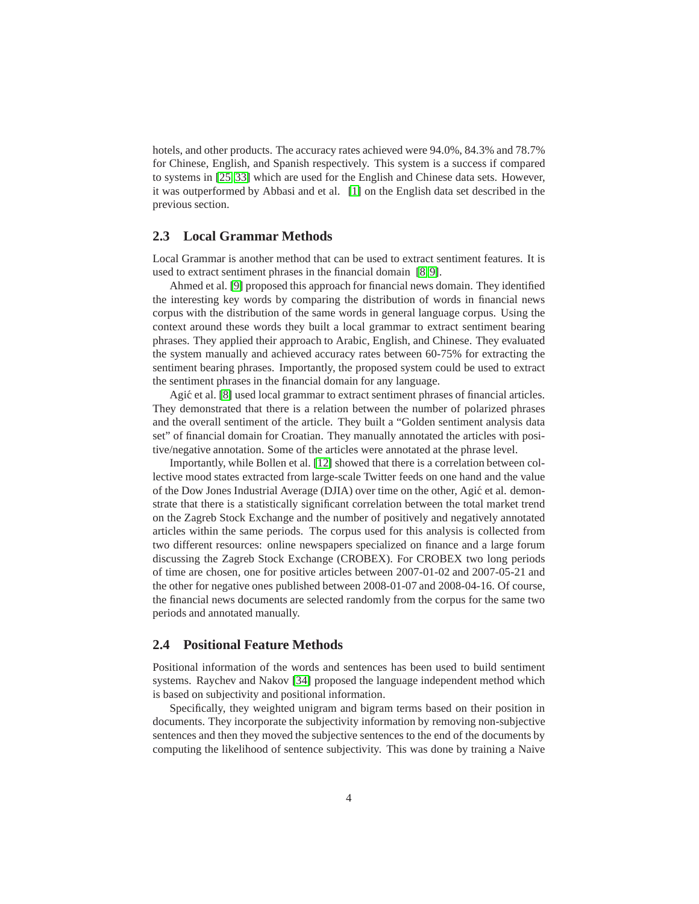hotels, and other products. The accuracy rates achieved were 94.0%, 84.3% and 78.7% for Chinese, English, and Spanish respectively. This system is a success if compared to systems in [\[25,](#page-25-4) [33\]](#page-26-8) which are used for the English and Chinese data sets. However, it was outperformed by Abbasi and et al. [\[1\]](#page-23-0) on the English data set described in the previous section.

# **2.3 Local Grammar Methods**

Local Grammar is another method that can be used to extract sentiment features. It is used to extract sentiment phrases in the financial domain [\[8,](#page-23-1) [9\]](#page-25-5).

Ahmed et al. [\[9\]](#page-25-5) proposed this approach for financial news domain. They identified the interesting key words by comparing the distribution of words in financial news corpus with the distribution of the same words in general language corpus. Using the context around these words they built a local grammar to extract sentiment bearing phrases. They applied their approach to Arabic, English, and Chinese. They evaluated the system manually and achieved accuracy rates between 60-75% for extracting the sentiment bearing phrases. Importantly, the proposed system could be used to extract the sentiment phrases in the financial domain for any language.

Agić et al. [\[8\]](#page-23-1) used local grammar to extract sentiment phrases of financial articles. They demonstrated that there is a relation between the number of polarized phrases and the overall sentiment of the article. They built a "Golden sentiment analysis data set" of financial domain for Croatian. They manually annotated the articles with positive/negative annotation. Some of the articles were annotated at the phrase level.

Importantly, while Bollen et al. [\[12\]](#page-25-6) showed that there is a correlation between collective mood states extracted from large-scale Twitter feeds on one hand and the value of the Dow Jones Industrial Average (DJIA) over time on the other, Agić et al. demonstrate that there is a statistically significant correlation between the total market trend on the Zagreb Stock Exchange and the number of positively and negatively annotated articles within the same periods. The corpus used for this analysis is collected from two different resources: online newspapers specialized on finance and a large forum discussing the Zagreb Stock Exchange (CROBEX). For CROBEX two long periods of time are chosen, one for positive articles between 2007-01-02 and 2007-05-21 and the other for negative ones published between 2008-01-07 and 2008-04-16. Of course, the financial news documents are selected randomly from the corpus for the same two periods and annotated manually.

#### **2.4 Positional Feature Methods**

Positional information of the words and sentences has been used to build sentiment systems. Raychev and Nakov [\[34\]](#page-26-9) proposed the language independent method which is based on subjectivity and positional information.

Specifically, they weighted unigram and bigram terms based on their position in documents. They incorporate the subjectivity information by removing non-subjective sentences and then they moved the subjective sentences to the end of the documents by computing the likelihood of sentence subjectivity. This was done by training a Naive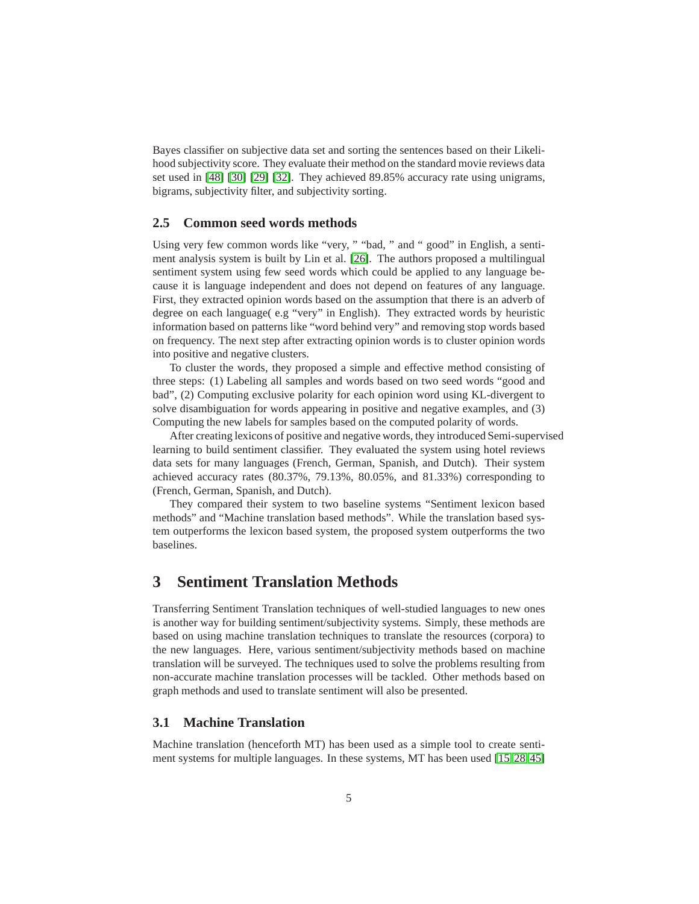Bayes classifier on subjective data set and sorting the sentences based on their Likelihood subjectivity score. They evaluate their method on the standard movie reviews data set used in [\[48\]](#page-27-2) [\[30\]](#page-26-6) [\[29\]](#page-26-5) [\[32\]](#page-26-7). They achieved 89.85% accuracy rate using unigrams, bigrams, subjectivity filter, and subjectivity sorting.

### **2.5 Common seed words methods**

Using very few common words like "very, " "bad, " and " good" in English, a sentiment analysis system is built by Lin et al. [\[26\]](#page-26-10). The authors proposed a multilingual sentiment system using few seed words which could be applied to any language because it is language independent and does not depend on features of any language. First, they extracted opinion words based on the assumption that there is an adverb of degree on each language( e.g "very" in English). They extracted words by heuristic information based on patterns like "word behind very" and removing stop words based on frequency. The next step after extracting opinion words is to cluster opinion words into positive and negative clusters.

To cluster the words, they proposed a simple and effective method consisting of three steps: (1) Labeling all samples and words based on two seed words "good and bad", (2) Computing exclusive polarity for each opinion word using KL-divergent to solve disambiguation for words appearing in positive and negative examples, and (3) Computing the new labels for samples based on the computed polarity of words.

After creating lexicons of positive and negative words, they introduced Semi-supervised learning to build sentiment classifier. They evaluated the system using hotel reviews data sets for many languages (French, German, Spanish, and Dutch). Their system achieved accuracy rates (80.37%, 79.13%, 80.05%, and 81.33%) corresponding to (French, German, Spanish, and Dutch).

They compared their system to two baseline systems "Sentiment lexicon based methods" and "Machine translation based methods". While the translation based system outperforms the lexicon based system, the proposed system outperforms the two baselines.

# **3 Sentiment Translation Methods**

Transferring Sentiment Translation techniques of well-studied languages to new ones is another way for building sentiment/subjectivity systems. Simply, these methods are based on using machine translation techniques to translate the resources (corpora) to the new languages. Here, various sentiment/subjectivity methods based on machine translation will be surveyed. The techniques used to solve the problems resulting from non-accurate machine translation processes will be tackled. Other methods based on graph methods and used to translate sentiment will also be presented.

# **3.1 Machine Translation**

Machine translation (henceforth MT) has been used as a simple tool to create sentiment systems for multiple languages. In these systems, MT has been used [\[15,](#page-25-1) [28,](#page-26-2) [45\]](#page-27-4)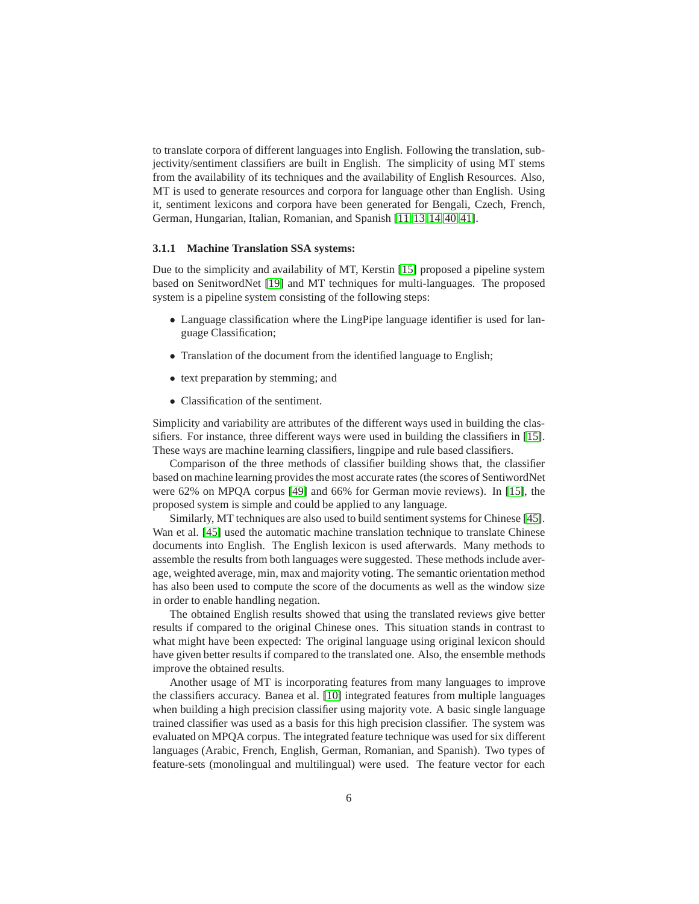to translate corpora of different languages into English. Following the translation, subjectivity/sentiment classifiers are built in English. The simplicity of using MT stems from the availability of its techniques and the availability of English Resources. Also, MT is used to generate resources and corpora for language other than English. Using it, sentiment lexicons and corpora have been generated for Bengali, Czech, French, German, Hungarian, Italian, Romanian, and Spanish [\[11,](#page-25-7) [13,](#page-25-0) [14,](#page-25-8) [40,](#page-26-11) [41\]](#page-27-5).

#### **3.1.1 Machine Translation SSA systems:**

Due to the simplicity and availability of MT, Kerstin [\[15\]](#page-25-1) proposed a pipeline system based on SenitwordNet [\[19\]](#page-25-9) and MT techniques for multi-languages. The proposed system is a pipeline system consisting of the following steps:

- Language classification where the LingPipe language identifier is used for language Classification;
- Translation of the document from the identified language to English;
- text preparation by stemming; and
- Classification of the sentiment.

Simplicity and variability are attributes of the different ways used in building the classifiers. For instance, three different ways were used in building the classifiers in [\[15\]](#page-25-1). These ways are machine learning classifiers, lingpipe and rule based classifiers.

Comparison of the three methods of classifier building shows that, the classifier based on machine learning provides the most accurate rates (the scores of SentiwordNet were 62% on MPQA corpus [\[49\]](#page-27-6) and 66% for German movie reviews). In [\[15\]](#page-25-1), the proposed system is simple and could be applied to any language.

Similarly, MT techniques are also used to build sentiment systems for Chinese [\[45\]](#page-27-4). Wan et al. [\[45\]](#page-27-4) used the automatic machine translation technique to translate Chinese documents into English. The English lexicon is used afterwards. Many methods to assemble the results from both languages were suggested. These methods include average, weighted average, min, max and majority voting. The semantic orientation method has also been used to compute the score of the documents as well as the window size in order to enable handling negation.

The obtained English results showed that using the translated reviews give better results if compared to the original Chinese ones. This situation stands in contrast to what might have been expected: The original language using original lexicon should have given better results if compared to the translated one. Also, the ensemble methods improve the obtained results.

Another usage of MT is incorporating features from many languages to improve the classifiers accuracy. Banea et al. [\[10\]](#page-25-10) integrated features from multiple languages when building a high precision classifier using majority vote. A basic single language trained classifier was used as a basis for this high precision classifier. The system was evaluated on MPQA corpus. The integrated feature technique was used for six different languages (Arabic, French, English, German, Romanian, and Spanish). Two types of feature-sets (monolingual and multilingual) were used. The feature vector for each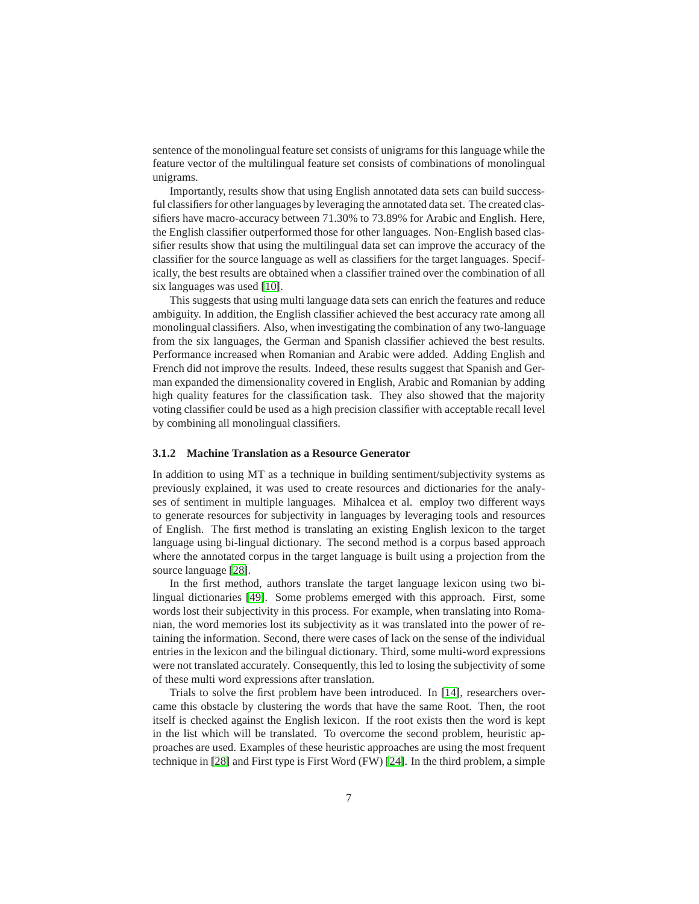sentence of the monolingual feature set consists of unigrams for this language while the feature vector of the multilingual feature set consists of combinations of monolingual unigrams.

Importantly, results show that using English annotated data sets can build successful classifiers for other languages by leveraging the annotated data set. The created classifiers have macro-accuracy between 71.30% to 73.89% for Arabic and English. Here, the English classifier outperformed those for other languages. Non-English based classifier results show that using the multilingual data set can improve the accuracy of the classifier for the source language as well as classifiers for the target languages. Specifically, the best results are obtained when a classifier trained over the combination of all six languages was used [\[10\]](#page-25-10).

This suggests that using multi language data sets can enrich the features and reduce ambiguity. In addition, the English classifier achieved the best accuracy rate among all monolingual classifiers. Also, when investigating the combination of any two-language from the six languages, the German and Spanish classifier achieved the best results. Performance increased when Romanian and Arabic were added. Adding English and French did not improve the results. Indeed, these results suggest that Spanish and German expanded the dimensionality covered in English, Arabic and Romanian by adding high quality features for the classification task. They also showed that the majority voting classifier could be used as a high precision classifier with acceptable recall level by combining all monolingual classifiers.

#### **3.1.2 Machine Translation as a Resource Generator**

In addition to using MT as a technique in building sentiment/subjectivity systems as previously explained, it was used to create resources and dictionaries for the analyses of sentiment in multiple languages. Mihalcea et al. employ two different ways to generate resources for subjectivity in languages by leveraging tools and resources of English. The first method is translating an existing English lexicon to the target language using bi-lingual dictionary. The second method is a corpus based approach where the annotated corpus in the target language is built using a projection from the source language [\[28\]](#page-26-2).

In the first method, authors translate the target language lexicon using two bilingual dictionaries [\[49\]](#page-27-6). Some problems emerged with this approach. First, some words lost their subjectivity in this process. For example, when translating into Romanian, the word memories lost its subjectivity as it was translated into the power of retaining the information. Second, there were cases of lack on the sense of the individual entries in the lexicon and the bilingual dictionary. Third, some multi-word expressions were not translated accurately. Consequently, this led to losing the subjectivity of some of these multi word expressions after translation.

Trials to solve the first problem have been introduced. In [\[14\]](#page-25-8), researchers overcame this obstacle by clustering the words that have the same Root. Then, the root itself is checked against the English lexicon. If the root exists then the word is kept in the list which will be translated. To overcome the second problem, heuristic approaches are used. Examples of these heuristic approaches are using the most frequent technique in [\[28\]](#page-26-2) and First type is First Word (FW) [\[24\]](#page-25-3). In the third problem, a simple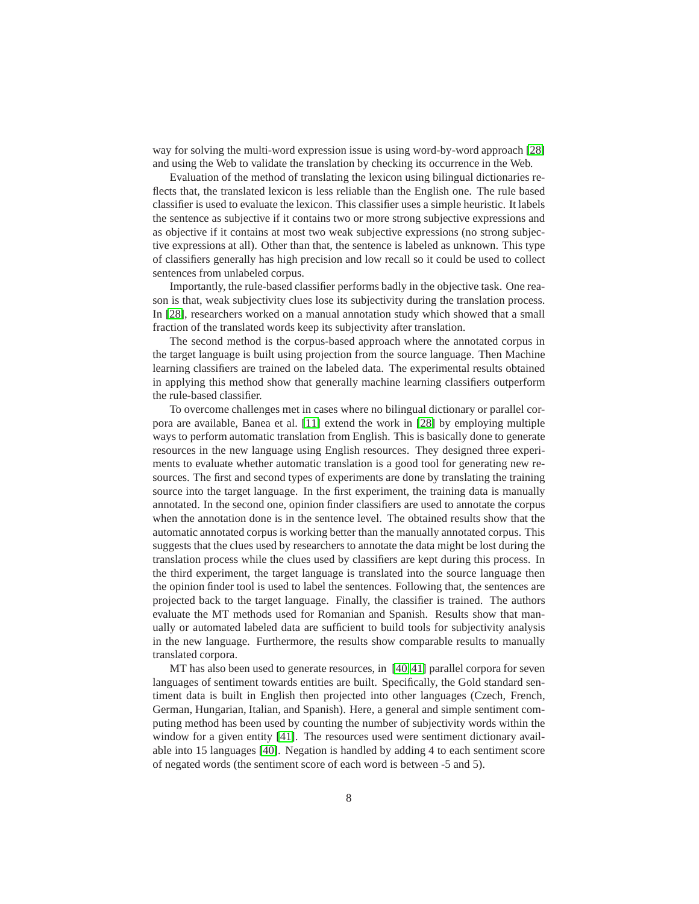way for solving the multi-word expression issue is using word-by-word approach [\[28\]](#page-26-2) and using the Web to validate the translation by checking its occurrence in the Web.

Evaluation of the method of translating the lexicon using bilingual dictionaries reflects that, the translated lexicon is less reliable than the English one. The rule based classifier is used to evaluate the lexicon. This classifier uses a simple heuristic. It labels the sentence as subjective if it contains two or more strong subjective expressions and as objective if it contains at most two weak subjective expressions (no strong subjective expressions at all). Other than that, the sentence is labeled as unknown. This type of classifiers generally has high precision and low recall so it could be used to collect sentences from unlabeled corpus.

Importantly, the rule-based classifier performs badly in the objective task. One reason is that, weak subjectivity clues lose its subjectivity during the translation process. In [\[28\]](#page-26-2), researchers worked on a manual annotation study which showed that a small fraction of the translated words keep its subjectivity after translation.

The second method is the corpus-based approach where the annotated corpus in the target language is built using projection from the source language. Then Machine learning classifiers are trained on the labeled data. The experimental results obtained in applying this method show that generally machine learning classifiers outperform the rule-based classifier.

To overcome challenges met in cases where no bilingual dictionary or parallel corpora are available, Banea et al. [\[11\]](#page-25-7) extend the work in [\[28\]](#page-26-2) by employing multiple ways to perform automatic translation from English. This is basically done to generate resources in the new language using English resources. They designed three experiments to evaluate whether automatic translation is a good tool for generating new resources. The first and second types of experiments are done by translating the training source into the target language. In the first experiment, the training data is manually annotated. In the second one, opinion finder classifiers are used to annotate the corpus when the annotation done is in the sentence level. The obtained results show that the automatic annotated corpus is working better than the manually annotated corpus. This suggests that the clues used by researchers to annotate the data might be lost during the translation process while the clues used by classifiers are kept during this process. In the third experiment, the target language is translated into the source language then the opinion finder tool is used to label the sentences. Following that, the sentences are projected back to the target language. Finally, the classifier is trained. The authors evaluate the MT methods used for Romanian and Spanish. Results show that manually or automated labeled data are sufficient to build tools for subjectivity analysis in the new language. Furthermore, the results show comparable results to manually translated corpora.

MT has also been used to generate resources, in [\[40,](#page-26-11)[41\]](#page-27-5) parallel corpora for seven languages of sentiment towards entities are built. Specifically, the Gold standard sentiment data is built in English then projected into other languages (Czech, French, German, Hungarian, Italian, and Spanish). Here, a general and simple sentiment computing method has been used by counting the number of subjectivity words within the window for a given entity [\[41\]](#page-27-5). The resources used were sentiment dictionary available into 15 languages [\[40\]](#page-26-11). Negation is handled by adding 4 to each sentiment score of negated words (the sentiment score of each word is between -5 and 5).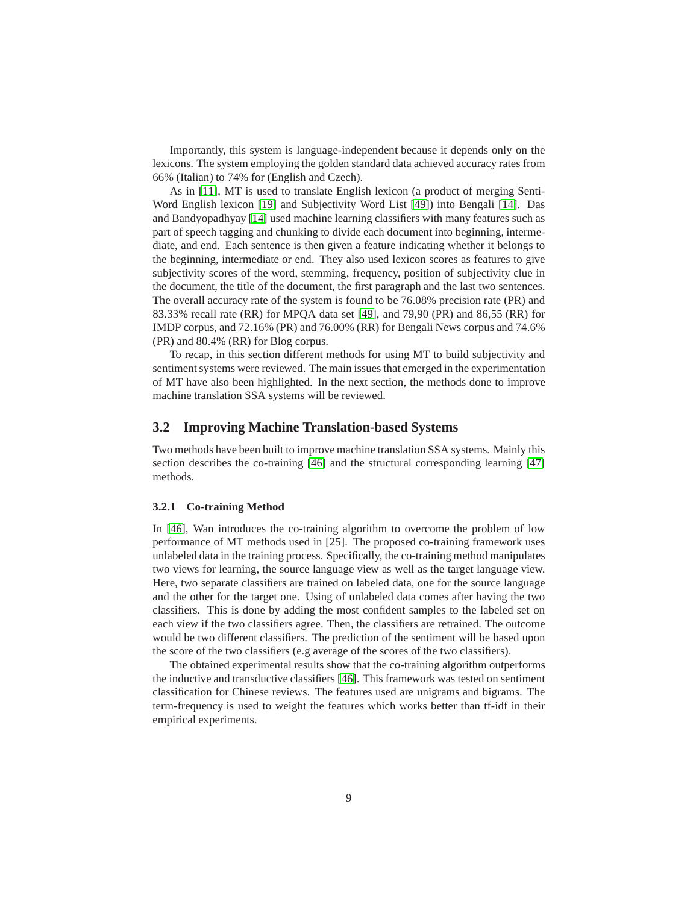Importantly, this system is language-independent because it depends only on the lexicons. The system employing the golden standard data achieved accuracy rates from 66% (Italian) to 74% for (English and Czech).

As in [\[11\]](#page-25-7), MT is used to translate English lexicon (a product of merging Senti-Word English lexicon [\[19\]](#page-25-9) and Subjectivity Word List [\[49\]](#page-27-6)) into Bengali [\[14\]](#page-25-8). Das and Bandyopadhyay [\[14\]](#page-25-8) used machine learning classifiers with many features such as part of speech tagging and chunking to divide each document into beginning, intermediate, and end. Each sentence is then given a feature indicating whether it belongs to the beginning, intermediate or end. They also used lexicon scores as features to give subjectivity scores of the word, stemming, frequency, position of subjectivity clue in the document, the title of the document, the first paragraph and the last two sentences. The overall accuracy rate of the system is found to be 76.08% precision rate (PR) and 83.33% recall rate (RR) for MPQA data set [\[49\]](#page-27-6), and 79,90 (PR) and 86,55 (RR) for IMDP corpus, and 72.16% (PR) and 76.00% (RR) for Bengali News corpus and 74.6% (PR) and 80.4% (RR) for Blog corpus.

To recap, in this section different methods for using MT to build subjectivity and sentiment systems were reviewed. The main issues that emerged in the experimentation of MT have also been highlighted. In the next section, the methods done to improve machine translation SSA systems will be reviewed.

### **3.2 Improving Machine Translation-based Systems**

Two methods have been built to improve machine translation SSA systems. Mainly this section describes the co-training [\[46\]](#page-27-1) and the structural corresponding learning [\[47\]](#page-27-7) methods.

#### **3.2.1 Co-training Method**

In [\[46\]](#page-27-1), Wan introduces the co-training algorithm to overcome the problem of low performance of MT methods used in [25]. The proposed co-training framework uses unlabeled data in the training process. Specifically, the co-training method manipulates two views for learning, the source language view as well as the target language view. Here, two separate classifiers are trained on labeled data, one for the source language and the other for the target one. Using of unlabeled data comes after having the two classifiers. This is done by adding the most confident samples to the labeled set on each view if the two classifiers agree. Then, the classifiers are retrained. The outcome would be two different classifiers. The prediction of the sentiment will be based upon the score of the two classifiers (e.g average of the scores of the two classifiers).

The obtained experimental results show that the co-training algorithm outperforms the inductive and transductive classifiers [\[46\]](#page-27-1). This framework was tested on sentiment classification for Chinese reviews. The features used are unigrams and bigrams. The term-frequency is used to weight the features which works better than tf-idf in their empirical experiments.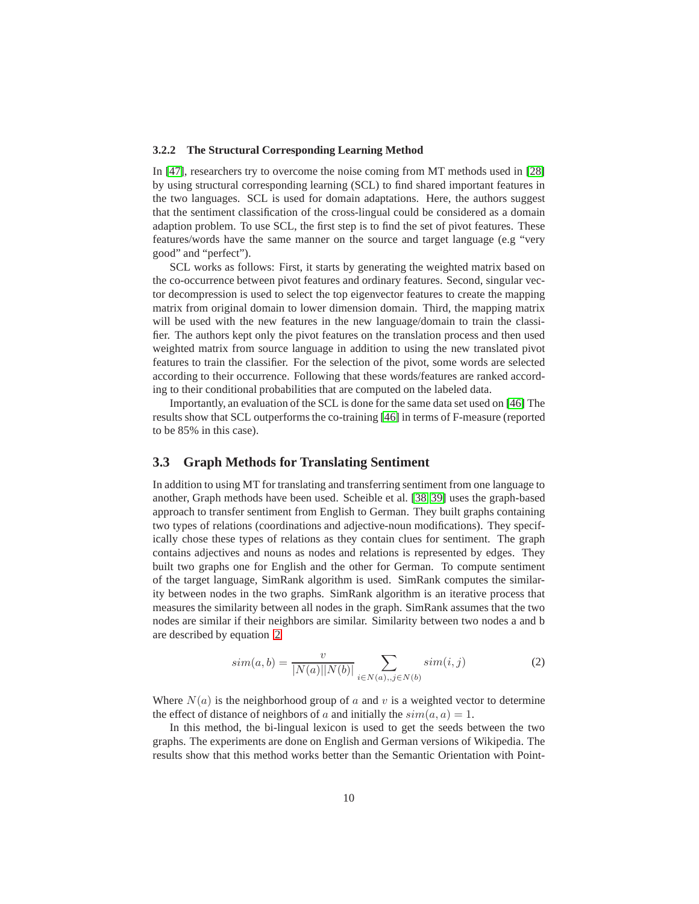#### **3.2.2 The Structural Corresponding Learning Method**

In [\[47\]](#page-27-7), researchers try to overcome the noise coming from MT methods used in [\[28\]](#page-26-2) by using structural corresponding learning (SCL) to find shared important features in the two languages. SCL is used for domain adaptations. Here, the authors suggest that the sentiment classification of the cross-lingual could be considered as a domain adaption problem. To use SCL, the first step is to find the set of pivot features. These features/words have the same manner on the source and target language (e.g "very good" and "perfect").

SCL works as follows: First, it starts by generating the weighted matrix based on the co-occurrence between pivot features and ordinary features. Second, singular vector decompression is used to select the top eigenvector features to create the mapping matrix from original domain to lower dimension domain. Third, the mapping matrix will be used with the new features in the new language/domain to train the classifier. The authors kept only the pivot features on the translation process and then used weighted matrix from source language in addition to using the new translated pivot features to train the classifier. For the selection of the pivot, some words are selected according to their occurrence. Following that these words/features are ranked according to their conditional probabilities that are computed on the labeled data.

Importantly, an evaluation of the SCL is done for the same data set used on [\[46\]](#page-27-1) The results show that SCL outperforms the co-training [\[46\]](#page-27-1) in terms of F-measure (reported to be 85% in this case).

# **3.3 Graph Methods for Translating Sentiment**

In addition to using MT for translating and transferring sentiment from one language to another, Graph methods have been used. Scheible et al. [\[38,](#page-26-12) [39\]](#page-26-13) uses the graph-based approach to transfer sentiment from English to German. They built graphs containing two types of relations (coordinations and adjective-noun modifications). They specifically chose these types of relations as they contain clues for sentiment. The graph contains adjectives and nouns as nodes and relations is represented by edges. They built two graphs one for English and the other for German. To compute sentiment of the target language, SimRank algorithm is used. SimRank computes the similarity between nodes in the two graphs. SimRank algorithm is an iterative process that measures the similarity between all nodes in the graph. SimRank assumes that the two nodes are similar if their neighbors are similar. Similarity between two nodes a and b are described by equation [2](#page-9-0)

<span id="page-9-0"></span>
$$
sim(a,b) = \frac{v}{|N(a)||N(b)|} \sum_{i \in N(a), j \in N(b)} sim(i,j)
$$
 (2)

Where  $N(a)$  is the neighborhood group of a and v is a weighted vector to determine the effect of distance of neighbors of a and initially the  $sim(a, a) = 1$ .

In this method, the bi-lingual lexicon is used to get the seeds between the two graphs. The experiments are done on English and German versions of Wikipedia. The results show that this method works better than the Semantic Orientation with Point-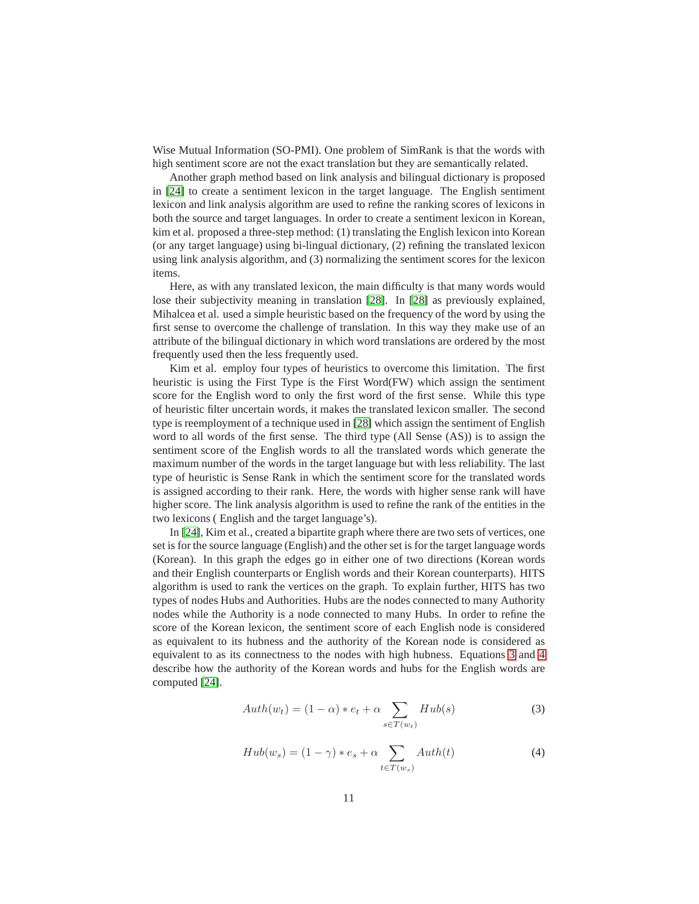Wise Mutual Information (SO-PMI). One problem of SimRank is that the words with high sentiment score are not the exact translation but they are semantically related.

Another graph method based on link analysis and bilingual dictionary is proposed in [\[24\]](#page-25-3) to create a sentiment lexicon in the target language. The English sentiment lexicon and link analysis algorithm are used to refine the ranking scores of lexicons in both the source and target languages. In order to create a sentiment lexicon in Korean, kim et al. proposed a three-step method: (1) translating the English lexicon into Korean (or any target language) using bi-lingual dictionary, (2) refining the translated lexicon using link analysis algorithm, and (3) normalizing the sentiment scores for the lexicon items.

Here, as with any translated lexicon, the main difficulty is that many words would lose their subjectivity meaning in translation [\[28\]](#page-26-2). In [\[28\]](#page-26-2) as previously explained, Mihalcea et al. used a simple heuristic based on the frequency of the word by using the first sense to overcome the challenge of translation. In this way they make use of an attribute of the bilingual dictionary in which word translations are ordered by the most frequently used then the less frequently used.

Kim et al. employ four types of heuristics to overcome this limitation. The first heuristic is using the First Type is the First Word(FW) which assign the sentiment score for the English word to only the first word of the first sense. While this type of heuristic filter uncertain words, it makes the translated lexicon smaller. The second type is reemployment of a technique used in [\[28\]](#page-26-2) which assign the sentiment of English word to all words of the first sense. The third type (All Sense (AS)) is to assign the sentiment score of the English words to all the translated words which generate the maximum number of the words in the target language but with less reliability. The last type of heuristic is Sense Rank in which the sentiment score for the translated words is assigned according to their rank. Here, the words with higher sense rank will have higher score. The link analysis algorithm is used to refine the rank of the entities in the two lexicons ( English and the target language's).

In [\[24\]](#page-25-3), Kim et al., created a bipartite graph where there are two sets of vertices, one set is for the source language (English) and the other set is for the target language words (Korean). In this graph the edges go in either one of two directions (Korean words and their English counterparts or English words and their Korean counterparts). HITS algorithm is used to rank the vertices on the graph. To explain further, HITS has two types of nodes Hubs and Authorities. Hubs are the nodes connected to many Authority nodes while the Authority is a node connected to many Hubs. In order to refine the score of the Korean lexicon, the sentiment score of each English node is considered as equivalent to its hubness and the authority of the Korean node is considered as equivalent to as its connectness to the nodes with high hubness. Equations [3](#page-10-0) and [4](#page-10-1) describe how the authority of the Korean words and hubs for the English words are computed [\[24\]](#page-25-3).

<span id="page-10-0"></span>
$$
Auth(w_t) = (1 - \alpha) * e_t + \alpha \sum_{s \in T(w_t)} Hub(s)
$$
\n(3)

<span id="page-10-1"></span>
$$
Hub(w_s) = (1 - \gamma) * e_s + \alpha \sum_{t \in T(w_s)} Auth(t)
$$
\n(4)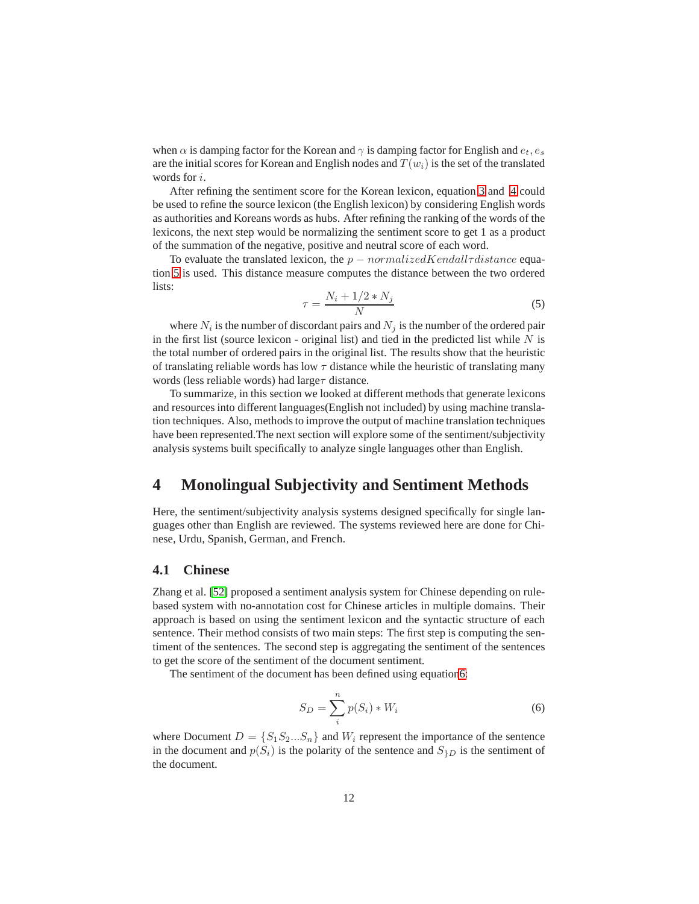when  $\alpha$  is damping factor for the Korean and  $\gamma$  is damping factor for English and  $e_t, e_s$ are the initial scores for Korean and English nodes and  $T(w_i)$  is the set of the translated words for *i*.

After refining the sentiment score for the Korean lexicon, equation [3](#page-10-0) and [4](#page-10-1) could be used to refine the source lexicon (the English lexicon) by considering English words as authorities and Koreans words as hubs. After refining the ranking of the words of the lexicons, the next step would be normalizing the sentiment score to get 1 as a product of the summation of the negative, positive and neutral score of each word.

To evaluate the translated lexicon, the  $p - normalized Kendall \tau distance$  equation [5](#page-11-0) is used. This distance measure computes the distance between the two ordered lists:

<span id="page-11-0"></span>
$$
\tau = \frac{N_i + 1/2 \cdot N_j}{N} \tag{5}
$$

where  $N_i$  is the number of discordant pairs and  $N_j$  is the number of the ordered pair in the first list (source lexicon - original list) and tied in the predicted list while  $N$  is the total number of ordered pairs in the original list. The results show that the heuristic of translating reliable words has low  $\tau$  distance while the heuristic of translating many words (less reliable words) had large $\tau$  distance.

To summarize, in this section we looked at different methods that generate lexicons and resources into different languages(English not included) by using machine translation techniques. Also, methods to improve the output of machine translation techniques have been represented.The next section will explore some of the sentiment/subjectivity analysis systems built specifically to analyze single languages other than English.

# **4 Monolingual Subjectivity and Sentiment Methods**

Here, the sentiment/subjectivity analysis systems designed specifically for single languages other than English are reviewed. The systems reviewed here are done for Chinese, Urdu, Spanish, German, and French.

# **4.1 Chinese**

Zhang et al. [\[52\]](#page-27-0) proposed a sentiment analysis system for Chinese depending on rulebased system with no-annotation cost for Chinese articles in multiple domains. Their approach is based on using the sentiment lexicon and the syntactic structure of each sentence. Their method consists of two main steps: The first step is computing the sentiment of the sentences. The second step is aggregating the sentiment of the sentences to get the score of the sentiment of the document sentiment.

The sentiment of the document has been defined using equatio[n6:](#page-11-1)

<span id="page-11-1"></span>
$$
S_D = \sum_{i}^{n} p(S_i) * W_i
$$
 (6)

where Document  $D = \{S_1S_2...S_n\}$  and  $W_i$  represent the importance of the sentence in the document and  $p(S_i)$  is the polarity of the sentence and  $S_{\nmid D}$  is the sentiment of the document.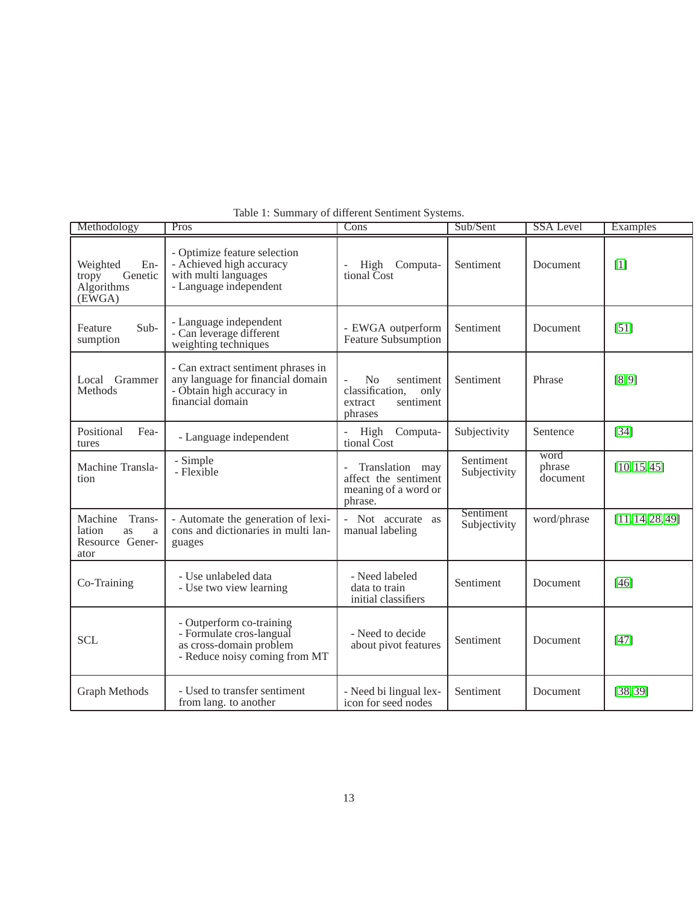| Methodology                                                              | Pros                                                                                                                     | Cons                                                                                                        | Sub/Sent                  | <b>SSA Level</b>           | Examples         |
|--------------------------------------------------------------------------|--------------------------------------------------------------------------------------------------------------------------|-------------------------------------------------------------------------------------------------------------|---------------------------|----------------------------|------------------|
| Weighted<br>$En-$<br>Genetic<br>tropy<br>Algorithms<br>$(E\bar{W}GA)$    | - Optimize feature selection<br>- Achieved high accuracy<br>with multi languages<br>- Language independent               | High<br>Computa-<br>tional Cost                                                                             | Sentiment                 | Document                   | $[1]$            |
| Sub-<br>Feature<br>sumption                                              | - Language independent<br>- Can leverage different<br>weighting techniques                                               | - EWGA outperform<br><b>Feature Subsumption</b>                                                             | Sentiment                 | Document                   | $[51]$           |
| Grammer<br>Local<br>Methods                                              | - Can extract sentiment phrases in<br>any language for financial domain<br>- Obtain high accuracy in<br>financial domain | N <sub>o</sub><br>sentiment<br>$\overline{a}$<br>classification,<br>only<br>sentiment<br>extract<br>phrases | Sentiment                 | Phrase                     | [8, 9]           |
| Positional<br>Fea-<br>tures                                              | - Language independent                                                                                                   | Computa-<br>High<br>tional Cost                                                                             | Subjectivity              | Sentence                   | $[34]$           |
| Machine Transla-<br>tion                                                 | - Simple<br>- Flexible                                                                                                   | Translation may<br>affect the sentiment<br>meaning of a word or<br>phrase.                                  | Sentiment<br>Subjectivity | word<br>phrase<br>document | [10, 15, 45]     |
| Machine<br>Trans-<br>lation<br><b>as</b><br>a<br>Resource Gener-<br>ator | - Automate the generation of lexi-<br>cons and dictionaries in multi lan-<br>guages                                      | - Not accurate as<br>manual labeling                                                                        | Sentiment<br>Subjectivity | word/phrase                | [11, 14, 28, 49] |
| Co-Training                                                              | - Use unlabeled data<br>- Use two view learning                                                                          | - Need labeled<br>data to train<br>initial classifiers                                                      | Sentiment                 | Document                   | $[46]$           |
| <b>SCL</b>                                                               | - Outperform co-training<br>- Formulate cros-langual<br>as cross-domain problem<br>- Reduce noisy coming from MT         | - Need to decide<br>about pivot features                                                                    | Sentiment                 | <b>Document</b>            | $[47]$           |
| Graph Methods                                                            | - Used to transfer sentiment<br>from lang. to another                                                                    | - Need bi lingual lex-<br>icon for seed nodes                                                               | Sentiment                 | Document                   | [38, 39]         |

Table 1: Summary of different Sentiment Systems.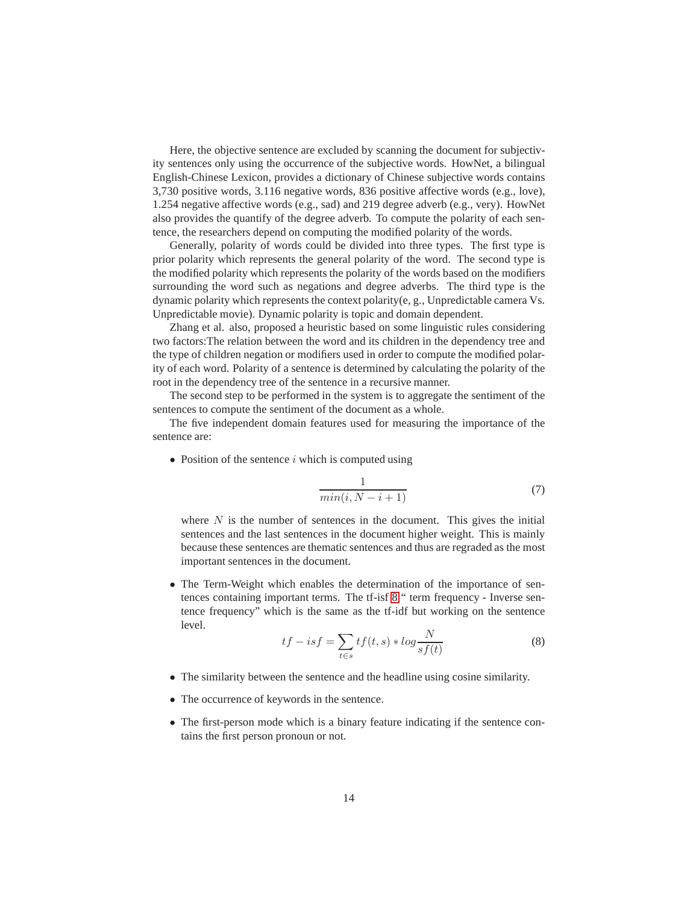Here, the objective sentence are excluded by scanning the document for subjectivity sentences only using the occurrence of the subjective words. HowNet, a bilingual English-Chinese Lexicon, provides a dictionary of Chinese subjective words contains 3,730 positive words, 3.116 negative words, 836 positive affective words (e.g., love), 1.254 negative affective words (e.g., sad) and 219 degree adverb (e.g., very). HowNet also provides the quantify of the degree adverb. To compute the polarity of each sentence, the researchers depend on computing the modified polarity of the words.

Generally, polarity of words could be divided into three types. The first type is prior polarity which represents the general polarity of the word. The second type is the modified polarity which represents the polarity of the words based on the modifiers surrounding the word such as negations and degree adverbs. The third type is the dynamic polarity which represents the context polarity(e, g., Unpredictable camera Vs. Unpredictable movie). Dynamic polarity is topic and domain dependent.

Zhang et al. also, proposed a heuristic based on some linguistic rules considering two factors:The relation between the word and its children in the dependency tree and the type of children negation or modifiers used in order to compute the modified polarity of each word. Polarity of a sentence is determined by calculating the polarity of the root in the dependency tree of the sentence in a recursive manner.

The second step to be performed in the system is to aggregate the sentiment of the sentences to compute the sentiment of the document as a whole.

The five independent domain features used for measuring the importance of the sentence are:

• Position of the sentence  $i$  which is computed using

$$
\frac{1}{\min(i, N-i+1)}\tag{7}
$$

where  $N$  is the number of sentences in the document. This gives the initial sentences and the last sentences in the document higher weight. This is mainly because these sentences are thematic sentences and thus are regraded as the most important sentences in the document.

• The Term-Weight which enables the determination of the importance of sentences containing important terms. The tf-isf [8](#page-13-0) " term frequency - Inverse sentence frequency" which is the same as the tf-idf but working on the sentence level.

<span id="page-13-0"></span>
$$
tf - isf = \sum_{t \in s} tf(t, s) * log \frac{N}{sf(t)}
$$
\n(8)

- The similarity between the sentence and the headline using cosine similarity.
- The occurrence of keywords in the sentence.
- The first-person mode which is a binary feature indicating if the sentence contains the first person pronoun or not.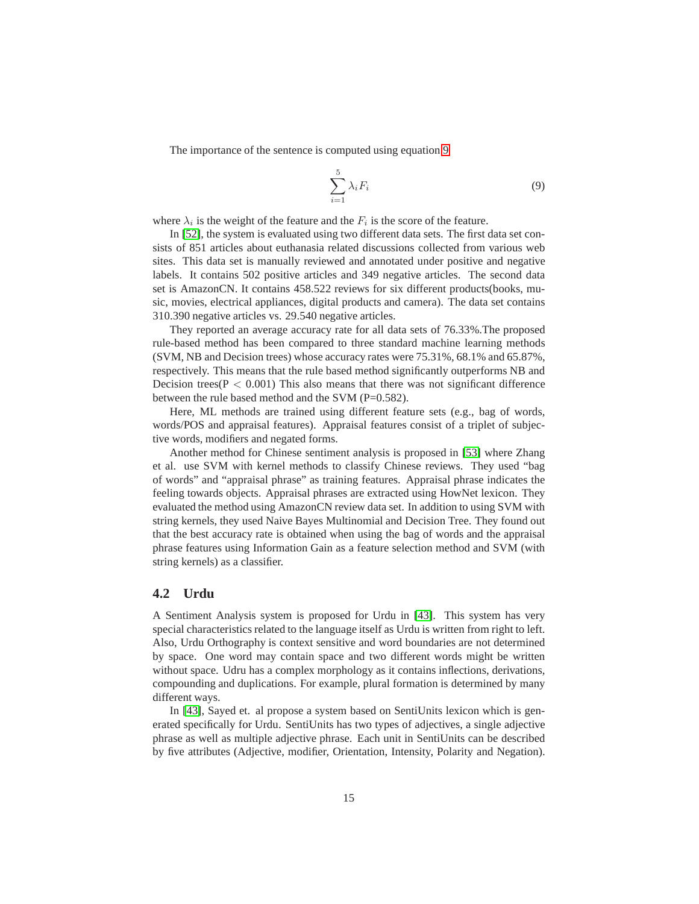The importance of the sentence is computed using equation [9](#page-14-0)

<span id="page-14-0"></span>
$$
\sum_{i=1}^{5} \lambda_i F_i \tag{9}
$$

where  $\lambda_i$  is the weight of the feature and the  $F_i$  is the score of the feature.

In [\[52\]](#page-27-0), the system is evaluated using two different data sets. The first data set consists of 851 articles about euthanasia related discussions collected from various web sites. This data set is manually reviewed and annotated under positive and negative labels. It contains 502 positive articles and 349 negative articles. The second data set is AmazonCN. It contains 458.522 reviews for six different products(books, music, movies, electrical appliances, digital products and camera). The data set contains 310.390 negative articles vs. 29.540 negative articles.

They reported an average accuracy rate for all data sets of 76.33%.The proposed rule-based method has been compared to three standard machine learning methods (SVM, NB and Decision trees) whose accuracy rates were 75.31%, 68.1% and 65.87%, respectively. This means that the rule based method significantly outperforms NB and Decision trees( $P < 0.001$ ) This also means that there was not significant difference between the rule based method and the SVM (P=0.582).

Here, ML methods are trained using different feature sets (e.g., bag of words, words/POS and appraisal features). Appraisal features consist of a triplet of subjective words, modifiers and negated forms.

Another method for Chinese sentiment analysis is proposed in [\[53\]](#page-27-8) where Zhang et al. use SVM with kernel methods to classify Chinese reviews. They used "bag of words" and "appraisal phrase" as training features. Appraisal phrase indicates the feeling towards objects. Appraisal phrases are extracted using HowNet lexicon. They evaluated the method using AmazonCN review data set. In addition to using SVM with string kernels, they used Naive Bayes Multinomial and Decision Tree. They found out that the best accuracy rate is obtained when using the bag of words and the appraisal phrase features using Information Gain as a feature selection method and SVM (with string kernels) as a classifier.

### **4.2 Urdu**

A Sentiment Analysis system is proposed for Urdu in [\[43\]](#page-27-9). This system has very special characteristics related to the language itself as Urdu is written from right to left. Also, Urdu Orthography is context sensitive and word boundaries are not determined by space. One word may contain space and two different words might be written without space. Udru has a complex morphology as it contains inflections, derivations, compounding and duplications. For example, plural formation is determined by many different ways.

In [\[43\]](#page-27-9), Sayed et. al propose a system based on SentiUnits lexicon which is generated specifically for Urdu. SentiUnits has two types of adjectives, a single adjective phrase as well as multiple adjective phrase. Each unit in SentiUnits can be described by five attributes (Adjective, modifier, Orientation, Intensity, Polarity and Negation).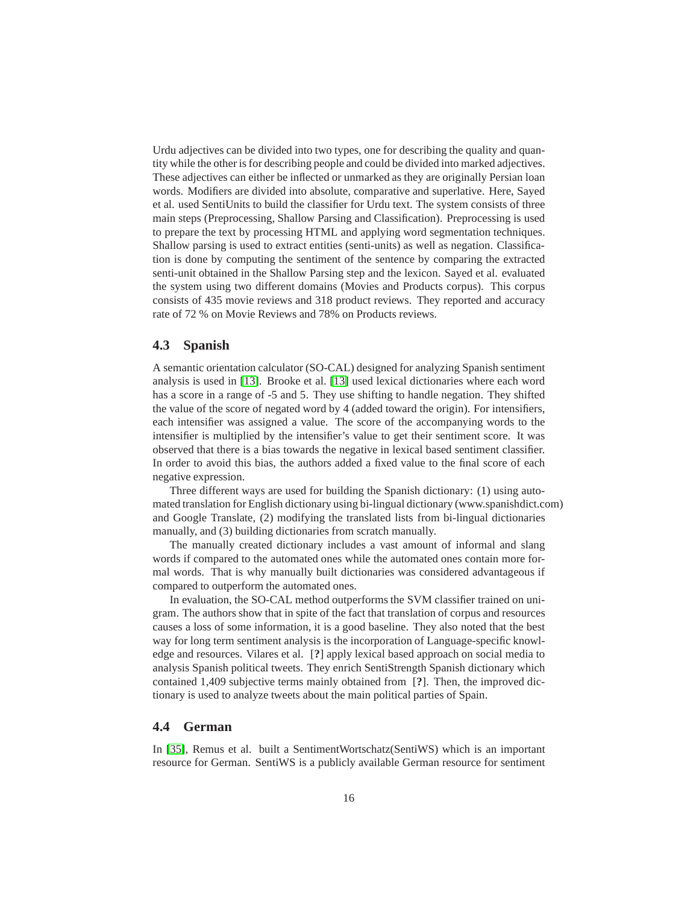Urdu adjectives can be divided into two types, one for describing the quality and quantity while the other is for describing people and could be divided into marked adjectives. These adjectives can either be inflected or unmarked as they are originally Persian loan words. Modifiers are divided into absolute, comparative and superlative. Here, Sayed et al. used SentiUnits to build the classifier for Urdu text. The system consists of three main steps (Preprocessing, Shallow Parsing and Classification). Preprocessing is used to prepare the text by processing HTML and applying word segmentation techniques. Shallow parsing is used to extract entities (senti-units) as well as negation. Classification is done by computing the sentiment of the sentence by comparing the extracted senti-unit obtained in the Shallow Parsing step and the lexicon. Sayed et al. evaluated the system using two different domains (Movies and Products corpus). This corpus consists of 435 movie reviews and 318 product reviews. They reported and accuracy rate of 72 % on Movie Reviews and 78% on Products reviews.

# **4.3 Spanish**

A semantic orientation calculator (SO-CAL) designed for analyzing Spanish sentiment analysis is used in [\[13\]](#page-25-0). Brooke et al. [\[13\]](#page-25-0) used lexical dictionaries where each word has a score in a range of -5 and 5. They use shifting to handle negation. They shifted the value of the score of negated word by 4 (added toward the origin). For intensifiers, each intensifier was assigned a value. The score of the accompanying words to the intensifier is multiplied by the intensifier's value to get their sentiment score. It was observed that there is a bias towards the negative in lexical based sentiment classifier. In order to avoid this bias, the authors added a fixed value to the final score of each negative expression.

Three different ways are used for building the Spanish dictionary: (1) using automated translation for English dictionary using bi-lingual dictionary (www.spanishdict.com) and Google Translate, (2) modifying the translated lists from bi-lingual dictionaries manually, and (3) building dictionaries from scratch manually.

The manually created dictionary includes a vast amount of informal and slang words if compared to the automated ones while the automated ones contain more formal words. That is why manually built dictionaries was considered advantageous if compared to outperform the automated ones.

In evaluation, the SO-CAL method outperforms the SVM classifier trained on unigram. The authors show that in spite of the fact that translation of corpus and resources causes a loss of some information, it is a good baseline. They also noted that the best way for long term sentiment analysis is the incorporation of Language-specific knowledge and resources. Vilares et al. [**?**] apply lexical based approach on social media to analysis Spanish political tweets. They enrich SentiStrength Spanish dictionary which contained 1,409 subjective terms mainly obtained from [**?**]. Then, the improved dictionary is used to analyze tweets about the main political parties of Spain.

# **4.4 German**

In [\[35\]](#page-26-14), Remus et al. built a SentimentWortschatz(SentiWS) which is an important resource for German. SentiWS is a publicly available German resource for sentiment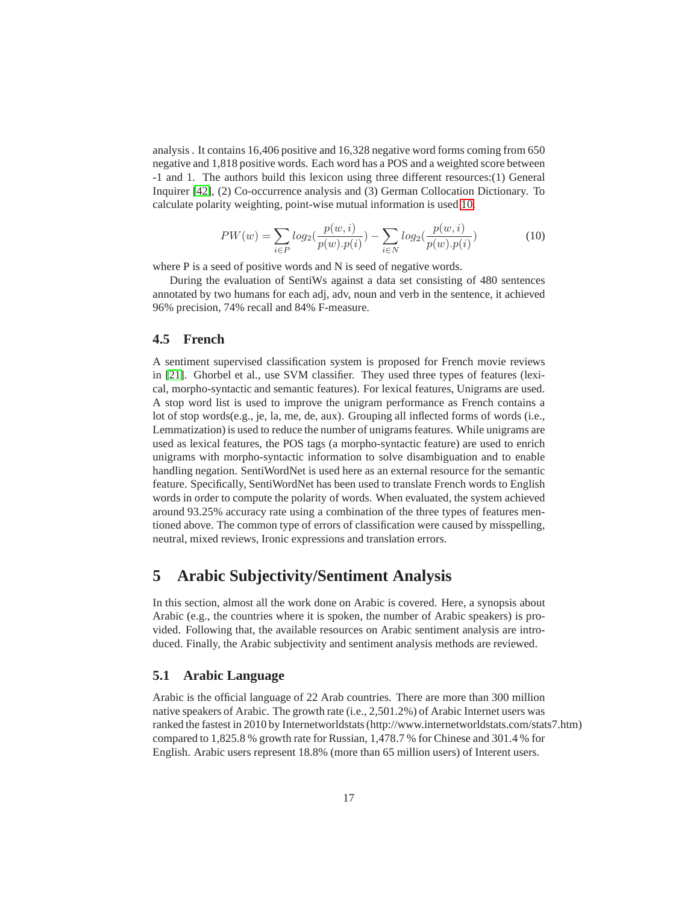analysis . It contains 16,406 positive and 16,328 negative word forms coming from 650 negative and 1,818 positive words. Each word has a POS and a weighted score between -1 and 1. The authors build this lexicon using three different resources:(1) General Inquirer [\[42\]](#page-27-10), (2) Co-occurrence analysis and (3) German Collocation Dictionary. To calculate polarity weighting, point-wise mutual information is used [10.](#page-16-0)

<span id="page-16-0"></span>
$$
PW(w) = \sum_{i \in P} log_2(\frac{p(w, i)}{p(w).p(i)}) - \sum_{i \in N} log_2(\frac{p(w, i)}{p(w).p(i)})
$$
(10)

where P is a seed of positive words and N is seed of negative words.

During the evaluation of SentiWs against a data set consisting of 480 sentences annotated by two humans for each adj, adv, noun and verb in the sentence, it achieved 96% precision, 74% recall and 84% F-measure.

### **4.5 French**

A sentiment supervised classification system is proposed for French movie reviews in [\[21\]](#page-25-11). Ghorbel et al., use SVM classifier. They used three types of features (lexical, morpho-syntactic and semantic features). For lexical features, Unigrams are used. A stop word list is used to improve the unigram performance as French contains a lot of stop words(e.g., je, la, me, de, aux). Grouping all inflected forms of words (i.e., Lemmatization) is used to reduce the number of unigrams features. While unigrams are used as lexical features, the POS tags (a morpho-syntactic feature) are used to enrich unigrams with morpho-syntactic information to solve disambiguation and to enable handling negation. SentiWordNet is used here as an external resource for the semantic feature. Specifically, SentiWordNet has been used to translate French words to English words in order to compute the polarity of words. When evaluated, the system achieved around 93.25% accuracy rate using a combination of the three types of features mentioned above. The common type of errors of classification were caused by misspelling, neutral, mixed reviews, Ironic expressions and translation errors.

# **5 Arabic Subjectivity/Sentiment Analysis**

In this section, almost all the work done on Arabic is covered. Here, a synopsis about Arabic (e.g., the countries where it is spoken, the number of Arabic speakers) is provided. Following that, the available resources on Arabic sentiment analysis are introduced. Finally, the Arabic subjectivity and sentiment analysis methods are reviewed.

### **5.1 Arabic Language**

Arabic is the official language of 22 Arab countries. There are more than 300 million native speakers of Arabic. The growth rate (i.e., 2,501.2%) of Arabic Internet users was ranked the fastest in 2010 by Internetworldstats (http://www.internetworldstats.com/stats7.htm) compared to 1,825.8 % growth rate for Russian, 1,478.7 % for Chinese and 301.4 % for English. Arabic users represent 18.8% (more than 65 million users) of Interent users.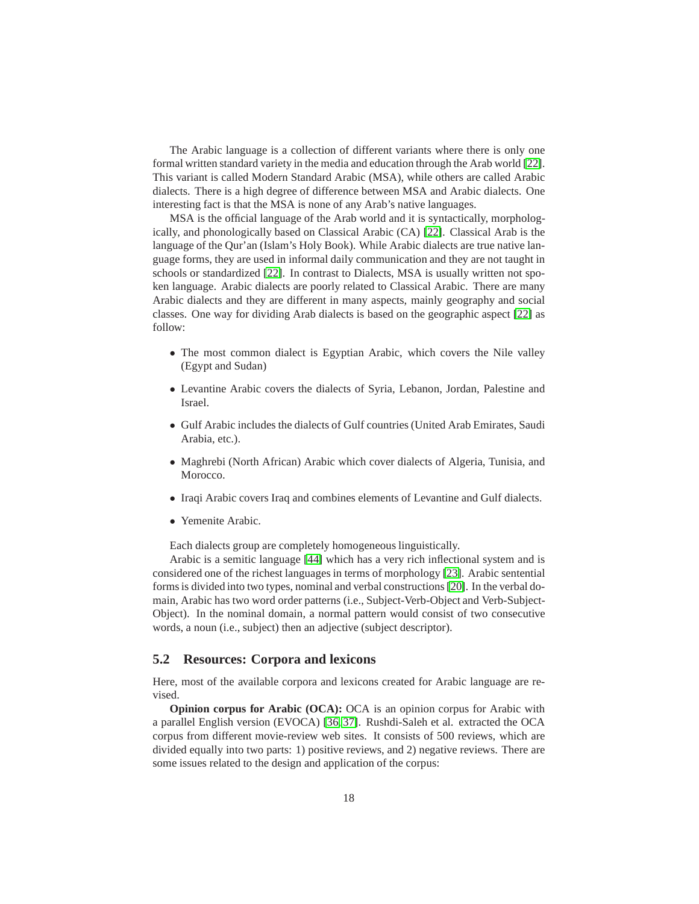The Arabic language is a collection of different variants where there is only one formal written standard variety in the media and education through the Arab world [\[22\]](#page-25-12). This variant is called Modern Standard Arabic (MSA), while others are called Arabic dialects. There is a high degree of difference between MSA and Arabic dialects. One interesting fact is that the MSA is none of any Arab's native languages.

MSA is the official language of the Arab world and it is syntactically, morphologically, and phonologically based on Classical Arabic (CA) [\[22\]](#page-25-12). Classical Arab is the language of the Qur'an (Islam's Holy Book). While Arabic dialects are true native language forms, they are used in informal daily communication and they are not taught in schools or standardized [\[22\]](#page-25-12). In contrast to Dialects, MSA is usually written not spoken language. Arabic dialects are poorly related to Classical Arabic. There are many Arabic dialects and they are different in many aspects, mainly geography and social classes. One way for dividing Arab dialects is based on the geographic aspect [\[22\]](#page-25-12) as follow:

- The most common dialect is Egyptian Arabic, which covers the Nile valley (Egypt and Sudan)
- Levantine Arabic covers the dialects of Syria, Lebanon, Jordan, Palestine and Israel.
- Gulf Arabic includes the dialects of Gulf countries (United Arab Emirates, Saudi Arabia, etc.).
- Maghrebi (North African) Arabic which cover dialects of Algeria, Tunisia, and Morocco.
- Iraqi Arabic covers Iraq and combines elements of Levantine and Gulf dialects.
- Yemenite Arabic.

Each dialects group are completely homogeneous linguistically.

Arabic is a semitic language [\[44\]](#page-27-11) which has a very rich inflectional system and is considered one of the richest languages in terms of morphology [\[23\]](#page-25-13). Arabic sentential forms is divided into two types, nominal and verbal constructions [\[20\]](#page-25-14). In the verbal domain, Arabic has two word order patterns (i.e., Subject-Verb-Object and Verb-Subject-Object). In the nominal domain, a normal pattern would consist of two consecutive words, a noun (i.e., subject) then an adjective (subject descriptor).

### **5.2 Resources: Corpora and lexicons**

Here, most of the available corpora and lexicons created for Arabic language are revised.

**Opinion corpus for Arabic (OCA):** OCA is an opinion corpus for Arabic with a parallel English version (EVOCA) [\[36,](#page-26-3) [37\]](#page-26-4). Rushdi-Saleh et al. extracted the OCA corpus from different movie-review web sites. It consists of 500 reviews, which are divided equally into two parts: 1) positive reviews, and 2) negative reviews. There are some issues related to the design and application of the corpus: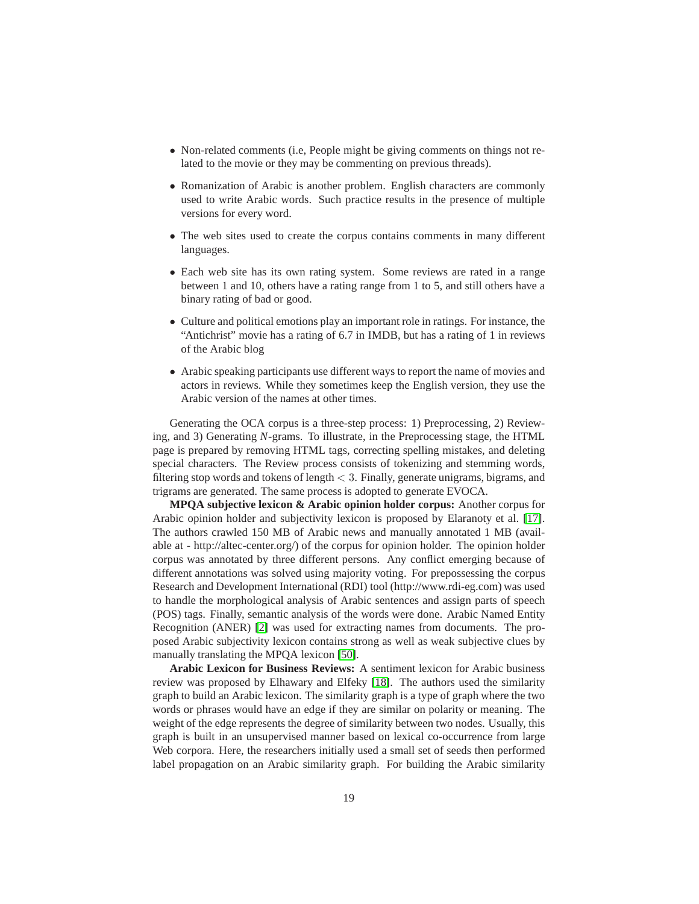- Non-related comments (i.e, People might be giving comments on things not related to the movie or they may be commenting on previous threads).
- Romanization of Arabic is another problem. English characters are commonly used to write Arabic words. Such practice results in the presence of multiple versions for every word.
- The web sites used to create the corpus contains comments in many different languages.
- Each web site has its own rating system. Some reviews are rated in a range between 1 and 10, others have a rating range from 1 to 5, and still others have a binary rating of bad or good.
- Culture and political emotions play an important role in ratings. For instance, the "Antichrist" movie has a rating of 6.7 in IMDB, but has a rating of 1 in reviews of the Arabic blog
- Arabic speaking participants use different ways to report the name of movies and actors in reviews. While they sometimes keep the English version, they use the Arabic version of the names at other times.

Generating the OCA corpus is a three-step process: 1) Preprocessing, 2) Reviewing, and 3) Generating *N*-grams. To illustrate, in the Preprocessing stage, the HTML page is prepared by removing HTML tags, correcting spelling mistakes, and deleting special characters. The Review process consists of tokenizing and stemming words, filtering stop words and tokens of length  $<$  3. Finally, generate unigrams, bigrams, and trigrams are generated. The same process is adopted to generate EVOCA.

**MPQA subjective lexicon & Arabic opinion holder corpus:** Another corpus for Arabic opinion holder and subjectivity lexicon is proposed by Elaranoty et al. [\[17\]](#page-25-2). The authors crawled 150 MB of Arabic news and manually annotated 1 MB (available at - http://altec-center.org/) of the corpus for opinion holder. The opinion holder corpus was annotated by three different persons. Any conflict emerging because of different annotations was solved using majority voting. For prepossessing the corpus Research and Development International (RDI) tool (http://www.rdi-eg.com) was used to handle the morphological analysis of Arabic sentences and assign parts of speech (POS) tags. Finally, semantic analysis of the words were done. Arabic Named Entity Recognition (ANER) [\[2\]](#page-23-2) was used for extracting names from documents. The proposed Arabic subjectivity lexicon contains strong as well as weak subjective clues by manually translating the MPQA lexicon [\[50\]](#page-27-12).

**Arabic Lexicon for Business Reviews:** A sentiment lexicon for Arabic business review was proposed by Elhawary and Elfeky [\[18\]](#page-25-15). The authors used the similarity graph to build an Arabic lexicon. The similarity graph is a type of graph where the two words or phrases would have an edge if they are similar on polarity or meaning. The weight of the edge represents the degree of similarity between two nodes. Usually, this graph is built in an unsupervised manner based on lexical co-occurrence from large Web corpora. Here, the researchers initially used a small set of seeds then performed label propagation on an Arabic similarity graph. For building the Arabic similarity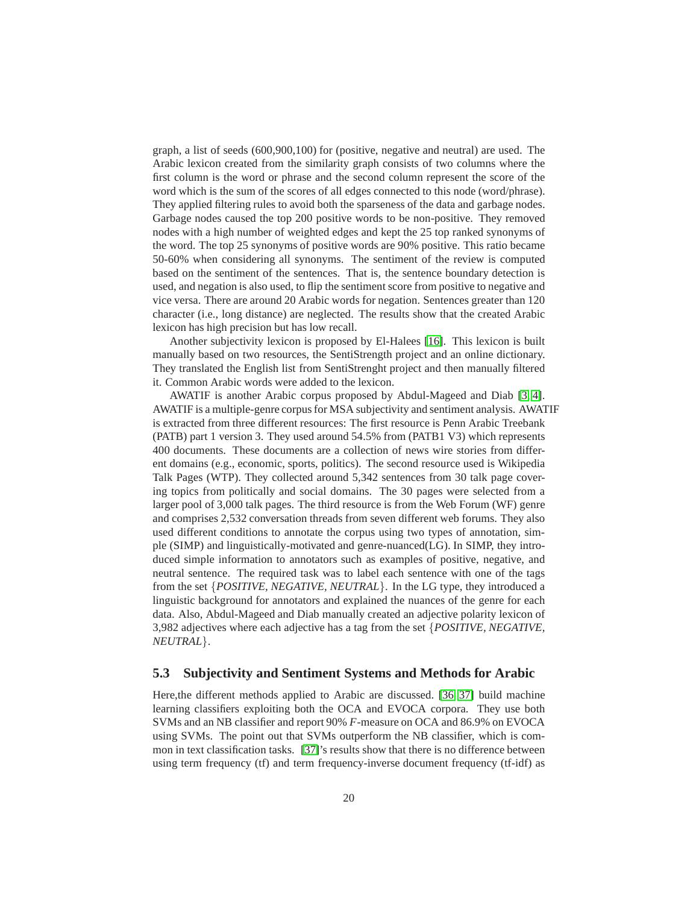graph, a list of seeds (600,900,100) for (positive, negative and neutral) are used. The Arabic lexicon created from the similarity graph consists of two columns where the first column is the word or phrase and the second column represent the score of the word which is the sum of the scores of all edges connected to this node (word/phrase). They applied filtering rules to avoid both the sparseness of the data and garbage nodes. Garbage nodes caused the top 200 positive words to be non-positive. They removed nodes with a high number of weighted edges and kept the 25 top ranked synonyms of the word. The top 25 synonyms of positive words are 90% positive. This ratio became 50-60% when considering all synonyms. The sentiment of the review is computed based on the sentiment of the sentences. That is, the sentence boundary detection is used, and negation is also used, to flip the sentiment score from positive to negative and vice versa. There are around 20 Arabic words for negation. Sentences greater than 120 character (i.e., long distance) are neglected. The results show that the created Arabic lexicon has high precision but has low recall.

Another subjectivity lexicon is proposed by El-Halees [\[16\]](#page-25-16). This lexicon is built manually based on two resources, the SentiStrength project and an online dictionary. They translated the English list from SentiStrenght project and then manually filtered it. Common Arabic words were added to the lexicon.

AWATIF is another Arabic corpus proposed by Abdul-Mageed and Diab [\[3,](#page-23-3) [4\]](#page-23-4). AWATIF is a multiple-genre corpus for MSA subjectivity and sentiment analysis. AWATIF is extracted from three different resources: The first resource is Penn Arabic Treebank (PATB) part 1 version 3. They used around 54.5% from (PATB1 V3) which represents 400 documents. These documents are a collection of news wire stories from different domains (e.g., economic, sports, politics). The second resource used is Wikipedia Talk Pages (WTP). They collected around 5,342 sentences from 30 talk page covering topics from politically and social domains. The 30 pages were selected from a larger pool of 3,000 talk pages. The third resource is from the Web Forum (WF) genre and comprises 2,532 conversation threads from seven different web forums. They also used different conditions to annotate the corpus using two types of annotation, simple (SIMP) and linguistically-motivated and genre-nuanced(LG). In SIMP, they introduced simple information to annotators such as examples of positive, negative, and neutral sentence. The required task was to label each sentence with one of the tags from the set {*POSITIVE, NEGATIVE, NEUTRAL*}. In the LG type, they introduced a linguistic background for annotators and explained the nuances of the genre for each data. Also, Abdul-Mageed and Diab manually created an adjective polarity lexicon of 3,982 adjectives where each adjective has a tag from the set {*POSITIVE, NEGATIVE, NEUTRAL*}.

### **5.3 Subjectivity and Sentiment Systems and Methods for Arabic**

Here,the different methods applied to Arabic are discussed. [\[36,](#page-26-3) [37\]](#page-26-4) build machine learning classifiers exploiting both the OCA and EVOCA corpora. They use both SVMs and an NB classifier and report 90% *F*-measure on OCA and 86.9% on EVOCA using SVMs. The point out that SVMs outperform the NB classifier, which is common in text classification tasks. [\[37\]](#page-26-4)'s results show that there is no difference between using term frequency (tf) and term frequency-inverse document frequency (tf-idf) as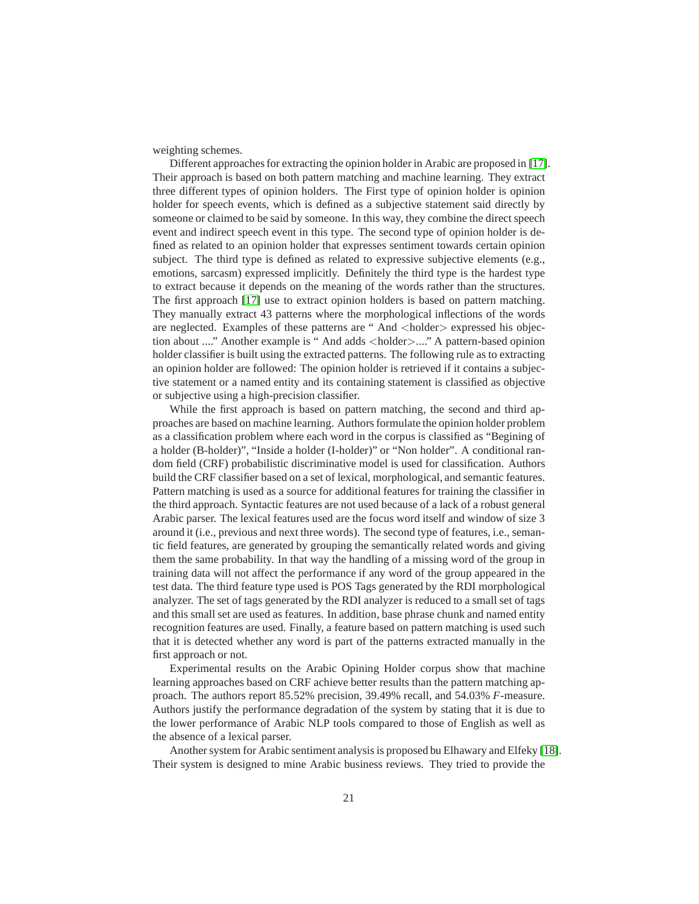weighting schemes.

Different approaches for extracting the opinion holder in Arabic are proposed in [\[17\]](#page-25-2). Their approach is based on both pattern matching and machine learning. They extract three different types of opinion holders. The First type of opinion holder is opinion holder for speech events, which is defined as a subjective statement said directly by someone or claimed to be said by someone. In this way, they combine the direct speech event and indirect speech event in this type. The second type of opinion holder is defined as related to an opinion holder that expresses sentiment towards certain opinion subject. The third type is defined as related to expressive subjective elements (e.g., emotions, sarcasm) expressed implicitly. Definitely the third type is the hardest type to extract because it depends on the meaning of the words rather than the structures. The first approach [\[17\]](#page-25-2) use to extract opinion holders is based on pattern matching. They manually extract 43 patterns where the morphological inflections of the words are neglected. Examples of these patterns are "And <holder> expressed his objection about ...." Another example is " And adds <holder>...." A pattern-based opinion holder classifier is built using the extracted patterns. The following rule as to extracting an opinion holder are followed: The opinion holder is retrieved if it contains a subjective statement or a named entity and its containing statement is classified as objective or subjective using a high-precision classifier.

While the first approach is based on pattern matching, the second and third approaches are based on machine learning. Authors formulate the opinion holder problem as a classification problem where each word in the corpus is classified as "Begining of a holder (B-holder)", "Inside a holder (I-holder)" or "Non holder". A conditional random field (CRF) probabilistic discriminative model is used for classification. Authors build the CRF classifier based on a set of lexical, morphological, and semantic features. Pattern matching is used as a source for additional features for training the classifier in the third approach. Syntactic features are not used because of a lack of a robust general Arabic parser. The lexical features used are the focus word itself and window of size 3 around it (i.e., previous and next three words). The second type of features, i.e., semantic field features, are generated by grouping the semantically related words and giving them the same probability. In that way the handling of a missing word of the group in training data will not affect the performance if any word of the group appeared in the test data. The third feature type used is POS Tags generated by the RDI morphological analyzer. The set of tags generated by the RDI analyzer is reduced to a small set of tags and this small set are used as features. In addition, base phrase chunk and named entity recognition features are used. Finally, a feature based on pattern matching is used such that it is detected whether any word is part of the patterns extracted manually in the first approach or not.

Experimental results on the Arabic Opining Holder corpus show that machine learning approaches based on CRF achieve better results than the pattern matching approach. The authors report 85.52% precision, 39.49% recall, and 54.03% *F*-measure. Authors justify the performance degradation of the system by stating that it is due to the lower performance of Arabic NLP tools compared to those of English as well as the absence of a lexical parser.

Another system for Arabic sentiment analysis is proposed bu Elhawary and Elfeky [\[18\]](#page-25-15). Their system is designed to mine Arabic business reviews. They tried to provide the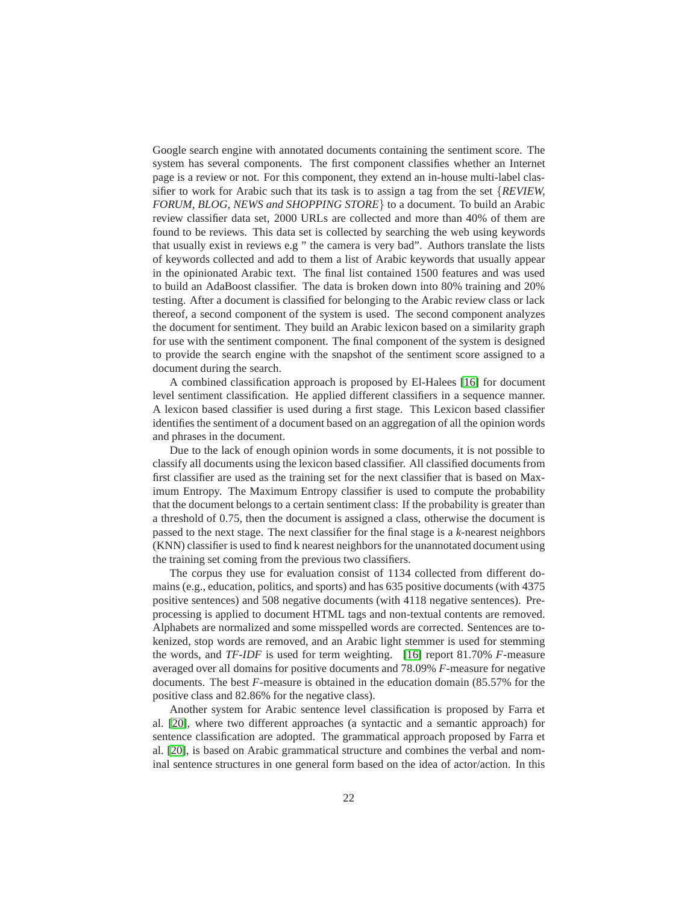Google search engine with annotated documents containing the sentiment score. The system has several components. The first component classifies whether an Internet page is a review or not. For this component, they extend an in-house multi-label classifier to work for Arabic such that its task is to assign a tag from the set {*REVIEW, FORUM, BLOG, NEWS and SHOPPING STORE*} to a document. To build an Arabic review classifier data set, 2000 URLs are collected and more than 40% of them are found to be reviews. This data set is collected by searching the web using keywords that usually exist in reviews e.g " the camera is very bad". Authors translate the lists of keywords collected and add to them a list of Arabic keywords that usually appear in the opinionated Arabic text. The final list contained 1500 features and was used to build an AdaBoost classifier. The data is broken down into 80% training and 20% testing. After a document is classified for belonging to the Arabic review class or lack thereof, a second component of the system is used. The second component analyzes the document for sentiment. They build an Arabic lexicon based on a similarity graph for use with the sentiment component. The final component of the system is designed to provide the search engine with the snapshot of the sentiment score assigned to a document during the search.

A combined classification approach is proposed by El-Halees [\[16\]](#page-25-16) for document level sentiment classification. He applied different classifiers in a sequence manner. A lexicon based classifier is used during a first stage. This Lexicon based classifier identifies the sentiment of a document based on an aggregation of all the opinion words and phrases in the document.

Due to the lack of enough opinion words in some documents, it is not possible to classify all documents using the lexicon based classifier. All classified documents from first classifier are used as the training set for the next classifier that is based on Maximum Entropy. The Maximum Entropy classifier is used to compute the probability that the document belongs to a certain sentiment class: If the probability is greater than a threshold of 0.75, then the document is assigned a class, otherwise the document is passed to the next stage. The next classifier for the final stage is a *k-*nearest neighbors (KNN) classifier is used to find k nearest neighbors for the unannotated document using the training set coming from the previous two classifiers.

The corpus they use for evaluation consist of 1134 collected from different domains (e.g., education, politics, and sports) and has 635 positive documents (with 4375 positive sentences) and 508 negative documents (with 4118 negative sentences). Preprocessing is applied to document HTML tags and non-textual contents are removed. Alphabets are normalized and some misspelled words are corrected. Sentences are tokenized, stop words are removed, and an Arabic light stemmer is used for stemming the words, and *TF-IDF* is used for term weighting. [\[16\]](#page-25-16) report 81.70% *F*-measure averaged over all domains for positive documents and 78.09% *F*-measure for negative documents. The best *F*-measure is obtained in the education domain (85.57% for the positive class and 82.86% for the negative class).

Another system for Arabic sentence level classification is proposed by Farra et al. [\[20\]](#page-25-14), where two different approaches (a syntactic and a semantic approach) for sentence classification are adopted. The grammatical approach proposed by Farra et al. [\[20\]](#page-25-14), is based on Arabic grammatical structure and combines the verbal and nominal sentence structures in one general form based on the idea of actor/action. In this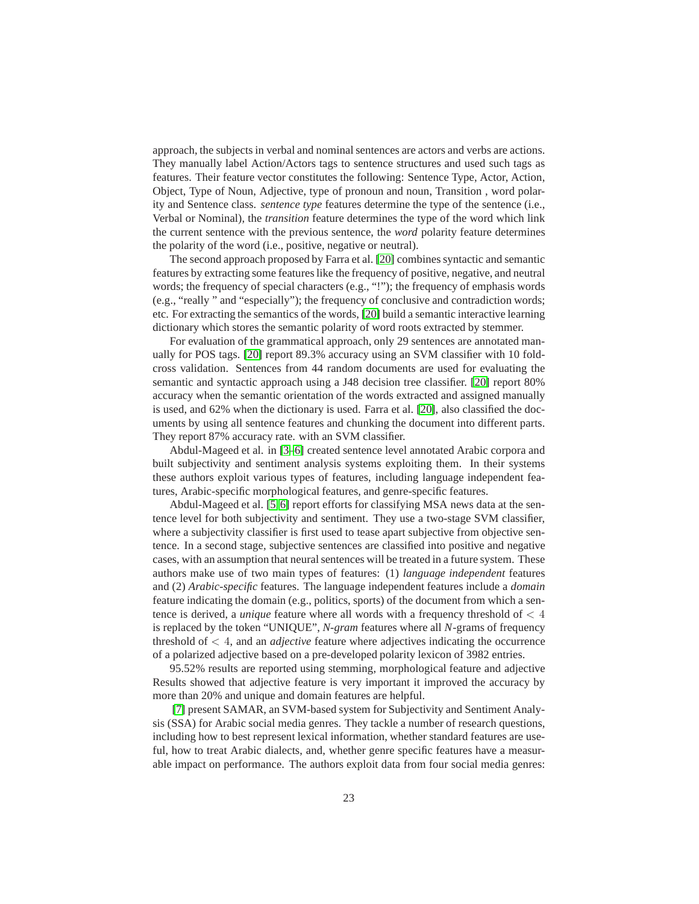approach, the subjects in verbal and nominal sentences are actors and verbs are actions. They manually label Action/Actors tags to sentence structures and used such tags as features. Their feature vector constitutes the following: Sentence Type, Actor, Action, Object, Type of Noun, Adjective, type of pronoun and noun, Transition , word polarity and Sentence class. *sentence type* features determine the type of the sentence (i.e., Verbal or Nominal), the *transition* feature determines the type of the word which link the current sentence with the previous sentence, the *word* polarity feature determines the polarity of the word (i.e., positive, negative or neutral).

The second approach proposed by Farra et al. [\[20\]](#page-25-14) combines syntactic and semantic features by extracting some features like the frequency of positive, negative, and neutral words; the frequency of special characters (e.g., "!"); the frequency of emphasis words (e.g., "really " and "especially"); the frequency of conclusive and contradiction words; etc. For extracting the semantics of the words, [\[20\]](#page-25-14) build a semantic interactive learning dictionary which stores the semantic polarity of word roots extracted by stemmer.

For evaluation of the grammatical approach, only 29 sentences are annotated manually for POS tags. [\[20\]](#page-25-14) report 89.3% accuracy using an SVM classifier with 10 foldcross validation. Sentences from 44 random documents are used for evaluating the semantic and syntactic approach using a J48 decision tree classifier. [\[20\]](#page-25-14) report 80% accuracy when the semantic orientation of the words extracted and assigned manually is used, and 62% when the dictionary is used. Farra et al. [\[20\]](#page-25-14), also classified the documents by using all sentence features and chunking the document into different parts. They report 87% accuracy rate. with an SVM classifier.

Abdul-Mageed et al. in [\[3](#page-23-3)[–6\]](#page-23-5) created sentence level annotated Arabic corpora and built subjectivity and sentiment analysis systems exploiting them. In their systems these authors exploit various types of features, including language independent features, Arabic-specific morphological features, and genre-specific features.

Abdul-Mageed et al. [\[5,](#page-23-6) [6\]](#page-23-5) report efforts for classifying MSA news data at the sentence level for both subjectivity and sentiment. They use a two-stage SVM classifier, where a subjectivity classifier is first used to tease apart subjective from objective sentence. In a second stage, subjective sentences are classified into positive and negative cases, with an assumption that neural sentences will be treated in a future system. These authors make use of two main types of features: (1) *language independent* features and (2) *Arabic-specific* features. The language independent features include a *domain* feature indicating the domain (e.g., politics, sports) of the document from which a sentence is derived, a *unique* feature where all words with a frequency threshold of < 4 is replaced by the token "UNIQUE", *N-gram* features where all *N*-grams of frequency threshold of < 4, and an *adjective* feature where adjectives indicating the occurrence of a polarized adjective based on a pre-developed polarity lexicon of 3982 entries.

95.52% results are reported using stemming, morphological feature and adjective Results showed that adjective feature is very important it improved the accuracy by more than 20% and unique and domain features are helpful.

[\[7\]](#page-23-7) present SAMAR, an SVM-based system for Subjectivity and Sentiment Analysis (SSA) for Arabic social media genres. They tackle a number of research questions, including how to best represent lexical information, whether standard features are useful, how to treat Arabic dialects, and, whether genre specific features have a measurable impact on performance. The authors exploit data from four social media genres: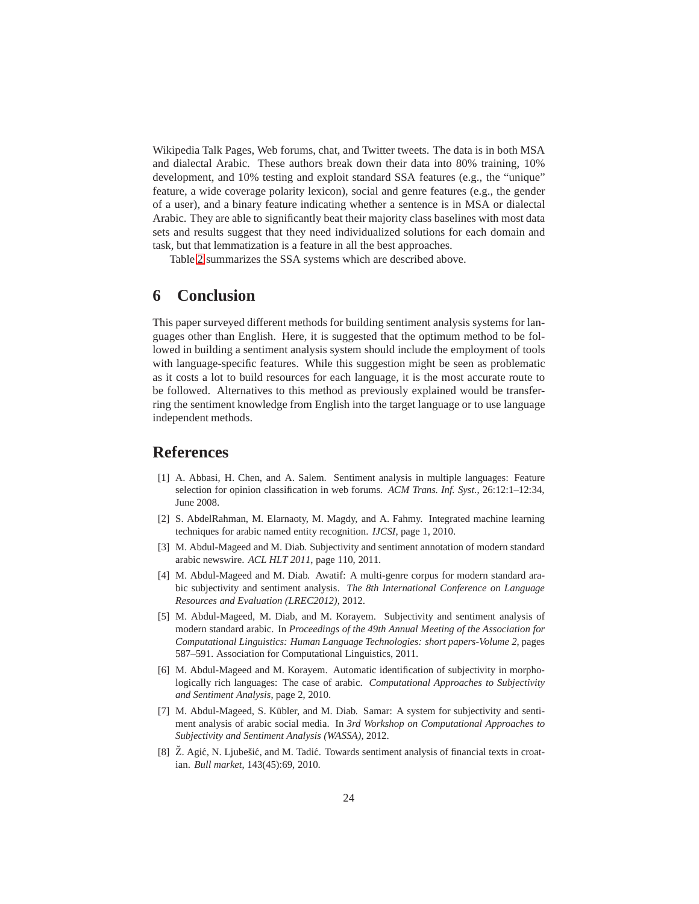Wikipedia Talk Pages, Web forums, chat, and Twitter tweets. The data is in both MSA and dialectal Arabic. These authors break down their data into 80% training, 10% development, and 10% testing and exploit standard SSA features (e.g., the "unique" feature, a wide coverage polarity lexicon), social and genre features (e.g., the gender of a user), and a binary feature indicating whether a sentence is in MSA or dialectal Arabic. They are able to significantly beat their majority class baselines with most data sets and results suggest that they need individualized solutions for each domain and task, but that lemmatization is a feature in all the best approaches.

Table [2](#page-24-0) summarizes the SSA systems which are described above.

# **6 Conclusion**

This paper surveyed different methods for building sentiment analysis systems for languages other than English. Here, it is suggested that the optimum method to be followed in building a sentiment analysis system should include the employment of tools with language-specific features. While this suggestion might be seen as problematic as it costs a lot to build resources for each language, it is the most accurate route to be followed. Alternatives to this method as previously explained would be transferring the sentiment knowledge from English into the target language or to use language independent methods.

# <span id="page-23-0"></span>**References**

- [1] A. Abbasi, H. Chen, and A. Salem. Sentiment analysis in multiple languages: Feature selection for opinion classification in web forums. *ACM Trans. Inf. Syst.*, 26:12:1–12:34, June 2008.
- <span id="page-23-2"></span>[2] S. AbdelRahman, M. Elarnaoty, M. Magdy, and A. Fahmy. Integrated machine learning techniques for arabic named entity recognition. *IJCSI*, page 1, 2010.
- <span id="page-23-3"></span>[3] M. Abdul-Mageed and M. Diab. Subjectivity and sentiment annotation of modern standard arabic newswire. *ACL HLT 2011*, page 110, 2011.
- <span id="page-23-4"></span>[4] M. Abdul-Mageed and M. Diab. Awatif: A multi-genre corpus for modern standard arabic subjectivity and sentiment analysis. *The 8th International Conference on Language Resources and Evaluation (LREC2012)*, 2012.
- <span id="page-23-6"></span>[5] M. Abdul-Mageed, M. Diab, and M. Korayem. Subjectivity and sentiment analysis of modern standard arabic. In *Proceedings of the 49th Annual Meeting of the Association for Computational Linguistics: Human Language Technologies: short papers-Volume 2*, pages 587–591. Association for Computational Linguistics, 2011.
- <span id="page-23-5"></span>[6] M. Abdul-Mageed and M. Korayem. Automatic identification of subjectivity in morphologically rich languages: The case of arabic. *Computational Approaches to Subjectivity and Sentiment Analysis*, page 2, 2010.
- <span id="page-23-7"></span>[7] M. Abdul-Mageed, S. Kübler, and M. Diab. Samar: A system for subjectivity and sentiment analysis of arabic social media. In *3rd Workshop on Computational Approaches to Subjectivity and Sentiment Analysis (WASSA)*, 2012.
- <span id="page-23-1"></span>[8] Ž. Agić, N. Ljubešić, and M. Tadić. Towards sentiment analysis of financial texts in croatian. *Bull market*, 143(45):69, 2010.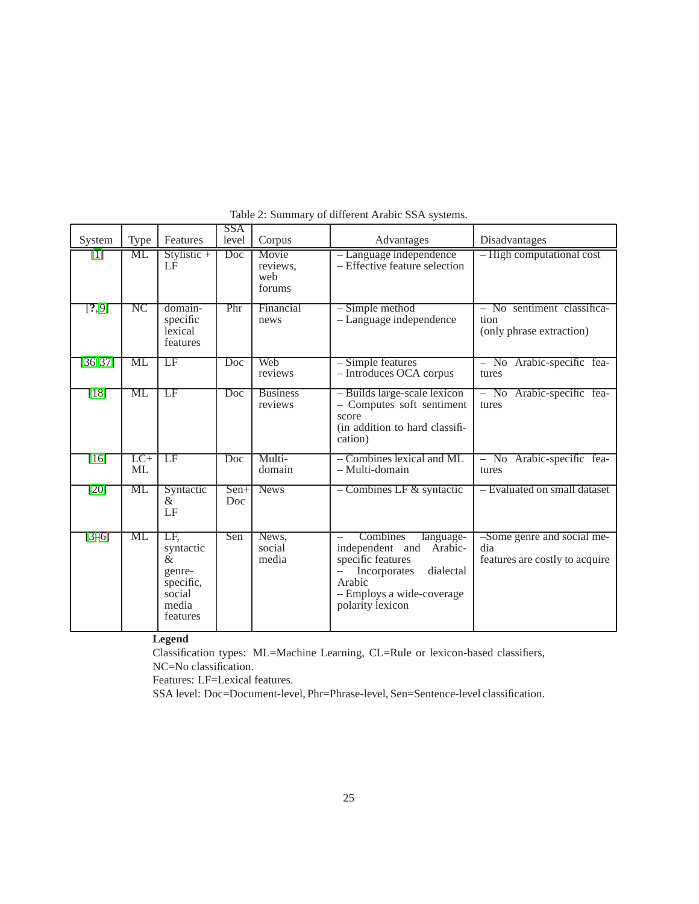| System                                                                                                                                                                         | Type                   | Features                                                                    | <b>SSA</b><br>level | Corpus                             | Advantages                                                                                                                                                       | Disadvantages                                                       |
|--------------------------------------------------------------------------------------------------------------------------------------------------------------------------------|------------------------|-----------------------------------------------------------------------------|---------------------|------------------------------------|------------------------------------------------------------------------------------------------------------------------------------------------------------------|---------------------------------------------------------------------|
| $[1] % \includegraphics[width=0.9\columnwidth]{figures/fig_10.pdf} \caption{The figure shows the number of times of the estimators in the left and right.} \label{fig:time} %$ | МL                     | Stylistic $+$<br>LĖ                                                         | Doc                 | Movie<br>reviews.<br>web<br>forums | - Language independence<br>- Effective feature selection                                                                                                         | - High computational cost                                           |
| [?,9]                                                                                                                                                                          | NC                     | domain-<br>specific<br>lexical<br>features                                  | Phr                 | Financial<br>news                  | - Simple method<br>- Language independence                                                                                                                       | - No sentiment classifica-<br>tion<br>(only phrase extraction)      |
| [36, 37]                                                                                                                                                                       | $\overline{\text{ML}}$ | LF                                                                          | Doc                 | Web<br>reviews                     | - Simple features<br>- Introduces OCA corpus                                                                                                                     | - No Arabic-specific fea-<br>tures                                  |
| $[18]$                                                                                                                                                                         | МL                     | LF                                                                          | Doc                 | <b>Business</b><br>reviews         | - Builds large-scale lexicon<br>- Computes soft sentiment<br>score<br>(in addition to hard classifi-<br>cation)                                                  | - No Arabic-specific fea-<br>tures                                  |
| $[16]$                                                                                                                                                                         | $LC+$<br>ML            | LF                                                                          | Doc                 | Multi-<br>domain                   | - Combines lexical and ML<br>- Multi-domain                                                                                                                      | - No Arabic-specific fea-<br>tures                                  |
| $\lceil 20 \rceil$                                                                                                                                                             | ML                     | Syntactic<br>&<br>LF                                                        | $Sen+$<br>Doc       | <b>News</b>                        | $-$ Combines LF $\&$ syntactic                                                                                                                                   | - Evaluated on small dataset                                        |
| $[3-6]$                                                                                                                                                                        | ML                     | LF.<br>syntactic<br>&<br>genre-<br>specific,<br>social<br>media<br>features | Sen                 | News,<br>social<br>media           | Combines<br>language-<br>independent and<br>Arabic-<br>specific features<br>dialectal<br>Incorporates<br>Arabic<br>- Employs a wide-coverage<br>polarity lexicon | -Some genre and social me-<br>dia<br>features are costly to acquire |

<span id="page-24-0"></span>Table 2: Summary of different Arabic SSA systems.

**Legend**

Classification types: ML=Machine Learning, CL=Rule or lexicon-based classifiers, NC=No classification.

Features: LF=Lexical features.

SSA level: Doc=Document-level, Phr=Phrase-level, Sen=Sentence-level classification.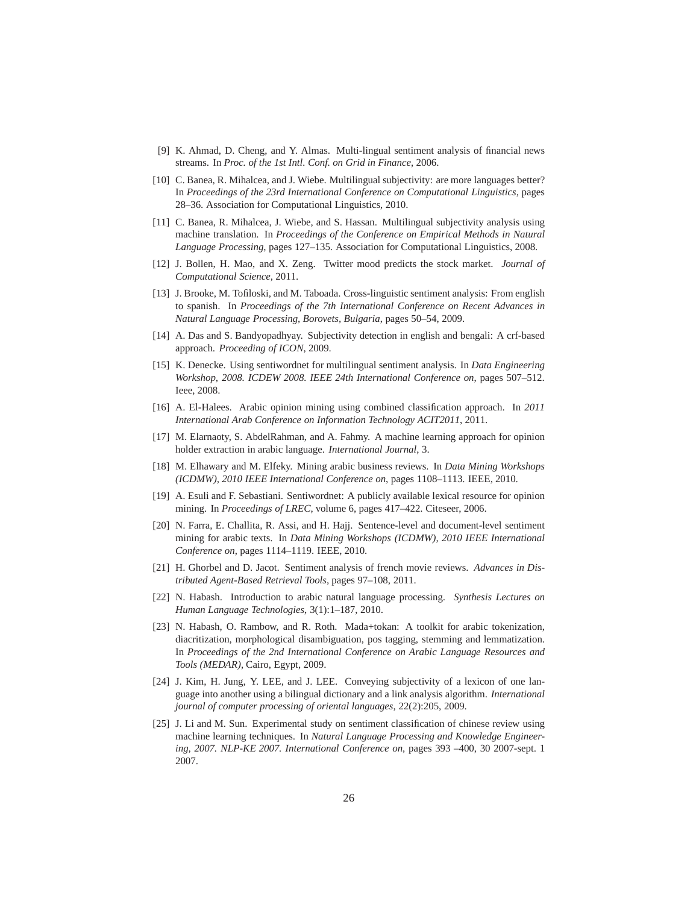- <span id="page-25-5"></span>[9] K. Ahmad, D. Cheng, and Y. Almas. Multi-lingual sentiment analysis of financial news streams. In *Proc. of the 1st Intl. Conf. on Grid in Finance*, 2006.
- <span id="page-25-10"></span>[10] C. Banea, R. Mihalcea, and J. Wiebe. Multilingual subjectivity: are more languages better? In *Proceedings of the 23rd International Conference on Computational Linguistics*, pages 28–36. Association for Computational Linguistics, 2010.
- <span id="page-25-7"></span>[11] C. Banea, R. Mihalcea, J. Wiebe, and S. Hassan. Multilingual subjectivity analysis using machine translation. In *Proceedings of the Conference on Empirical Methods in Natural Language Processing*, pages 127–135. Association for Computational Linguistics, 2008.
- <span id="page-25-6"></span>[12] J. Bollen, H. Mao, and X. Zeng. Twitter mood predicts the stock market. *Journal of Computational Science*, 2011.
- <span id="page-25-0"></span>[13] J. Brooke, M. Tofiloski, and M. Taboada. Cross-linguistic sentiment analysis: From english to spanish. In *Proceedings of the 7th International Conference on Recent Advances in Natural Language Processing, Borovets, Bulgaria*, pages 50–54, 2009.
- <span id="page-25-8"></span>[14] A. Das and S. Bandyopadhyay. Subjectivity detection in english and bengali: A crf-based approach. *Proceeding of ICON*, 2009.
- <span id="page-25-1"></span>[15] K. Denecke. Using sentiwordnet for multilingual sentiment analysis. In *Data Engineering Workshop, 2008. ICDEW 2008. IEEE 24th International Conference on*, pages 507–512. Ieee, 2008.
- <span id="page-25-16"></span>[16] A. El-Halees. Arabic opinion mining using combined classification approach. In *2011 International Arab Conference on Information Technology ACIT2011*, 2011.
- <span id="page-25-2"></span>[17] M. Elarnaoty, S. AbdelRahman, and A. Fahmy. A machine learning approach for opinion holder extraction in arabic language. *International Journal*, 3.
- <span id="page-25-15"></span>[18] M. Elhawary and M. Elfeky. Mining arabic business reviews. In *Data Mining Workshops (ICDMW), 2010 IEEE International Conference on*, pages 1108–1113. IEEE, 2010.
- <span id="page-25-9"></span>[19] A. Esuli and F. Sebastiani. Sentiwordnet: A publicly available lexical resource for opinion mining. In *Proceedings of LREC*, volume 6, pages 417–422. Citeseer, 2006.
- <span id="page-25-14"></span>[20] N. Farra, E. Challita, R. Assi, and H. Hajj. Sentence-level and document-level sentiment mining for arabic texts. In *Data Mining Workshops (ICDMW), 2010 IEEE International Conference on*, pages 1114–1119. IEEE, 2010.
- <span id="page-25-11"></span>[21] H. Ghorbel and D. Jacot. Sentiment analysis of french movie reviews. *Advances in Distributed Agent-Based Retrieval Tools*, pages 97–108, 2011.
- <span id="page-25-12"></span>[22] N. Habash. Introduction to arabic natural language processing. *Synthesis Lectures on Human Language Technologies*, 3(1):1–187, 2010.
- <span id="page-25-13"></span>[23] N. Habash, O. Rambow, and R. Roth. Mada+tokan: A toolkit for arabic tokenization, diacritization, morphological disambiguation, pos tagging, stemming and lemmatization. In *Proceedings of the 2nd International Conference on Arabic Language Resources and Tools (MEDAR)*, Cairo, Egypt, 2009.
- <span id="page-25-3"></span>[24] J. Kim, H. Jung, Y. LEE, and J. LEE. Conveying subjectivity of a lexicon of one language into another using a bilingual dictionary and a link analysis algorithm. *International journal of computer processing of oriental languages*, 22(2):205, 2009.
- <span id="page-25-4"></span>[25] J. Li and M. Sun. Experimental study on sentiment classification of chinese review using machine learning techniques. In *Natural Language Processing and Knowledge Engineering, 2007. NLP-KE 2007. International Conference on*, pages 393 –400, 30 2007-sept. 1 2007.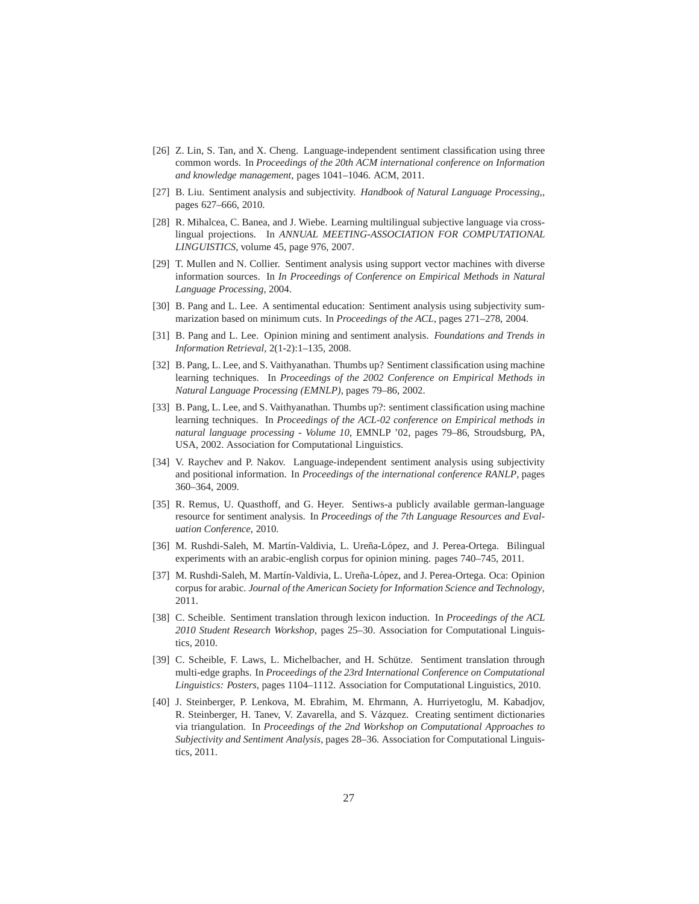- <span id="page-26-10"></span>[26] Z. Lin, S. Tan, and X. Cheng. Language-independent sentiment classification using three common words. In *Proceedings of the 20th ACM international conference on Information and knowledge management*, pages 1041–1046. ACM, 2011.
- <span id="page-26-2"></span><span id="page-26-1"></span>[27] B. Liu. Sentiment analysis and subjectivity. *Handbook of Natural Language Processing,*, pages 627–666, 2010.
- [28] R. Mihalcea, C. Banea, and J. Wiebe. Learning multilingual subjective language via crosslingual projections. In *ANNUAL MEETING-ASSOCIATION FOR COMPUTATIONAL LINGUISTICS*, volume 45, page 976, 2007.
- <span id="page-26-5"></span>[29] T. Mullen and N. Collier. Sentiment analysis using support vector machines with diverse information sources. In *In Proceedings of Conference on Empirical Methods in Natural Language Processing*, 2004.
- <span id="page-26-6"></span>[30] B. Pang and L. Lee. A sentimental education: Sentiment analysis using subjectivity summarization based on minimum cuts. In *Proceedings of the ACL*, pages 271–278, 2004.
- <span id="page-26-0"></span>[31] B. Pang and L. Lee. Opinion mining and sentiment analysis. *Foundations and Trends in Information Retrieval*, 2(1-2):1–135, 2008.
- <span id="page-26-7"></span>[32] B. Pang, L. Lee, and S. Vaithyanathan. Thumbs up? Sentiment classification using machine learning techniques. In *Proceedings of the 2002 Conference on Empirical Methods in Natural Language Processing (EMNLP)*, pages 79–86, 2002.
- <span id="page-26-8"></span>[33] B. Pang, L. Lee, and S. Vaithyanathan. Thumbs up?: sentiment classification using machine learning techniques. In *Proceedings of the ACL-02 conference on Empirical methods in natural language processing - Volume 10*, EMNLP '02, pages 79–86, Stroudsburg, PA, USA, 2002. Association for Computational Linguistics.
- <span id="page-26-9"></span>[34] V. Raychev and P. Nakov. Language-independent sentiment analysis using subjectivity and positional information. In *Proceedings of the international conference RANLP*, pages 360–364, 2009.
- <span id="page-26-14"></span>[35] R. Remus, U. Quasthoff, and G. Heyer. Sentiws-a publicly available german-language resource for sentiment analysis. In *Proceedings of the 7th Language Resources and Evaluation Conference*, 2010.
- <span id="page-26-3"></span>[36] M. Rushdi-Saleh, M. Martín-Valdivia, L. Ureña-López, and J. Perea-Ortega. Bilingual experiments with an arabic-english corpus for opinion mining. pages 740–745, 2011.
- <span id="page-26-4"></span>[37] M. Rushdi-Saleh, M. Martín-Valdivia, L. Ureña-López, and J. Perea-Ortega. Oca: Opinion corpus for arabic. *Journal of the American Society for Information Science and Technology*, 2011.
- <span id="page-26-12"></span>[38] C. Scheible. Sentiment translation through lexicon induction. In *Proceedings of the ACL 2010 Student Research Workshop*, pages 25–30. Association for Computational Linguistics, 2010.
- <span id="page-26-13"></span>[39] C. Scheible, F. Laws, L. Michelbacher, and H. Schütze. Sentiment translation through multi-edge graphs. In *Proceedings of the 23rd International Conference on Computational Linguistics: Posters*, pages 1104–1112. Association for Computational Linguistics, 2010.
- <span id="page-26-11"></span>[40] J. Steinberger, P. Lenkova, M. Ebrahim, M. Ehrmann, A. Hurriyetoglu, M. Kabadjov, R. Steinberger, H. Tanev, V. Zavarella, and S. Vázquez. Creating sentiment dictionaries via triangulation. In *Proceedings of the 2nd Workshop on Computational Approaches to Subjectivity and Sentiment Analysis*, pages 28–36. Association for Computational Linguistics, 2011.